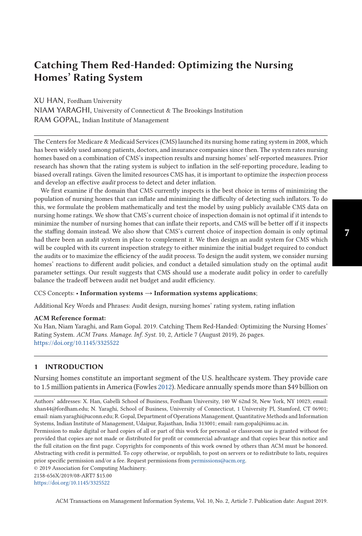# **Catching Them Red-Handed: Optimizing the Nursing Homes' Rating System**

XU HAN, Fordham University

NIAM YARAGHI, University of Connecticut & The Brookings Institution RAM GOPAL, Indian Institute of Management

The Centers for Medicare & Medicaid Services (CMS) launched its nursing home rating system in 2008, which has been widely used among patients, doctors, and insurance companies since then. The system rates nursing homes based on a combination of CMS's inspection results and nursing homes' self-reported measures. Prior research has shown that the rating system is subject to inflation in the self-reporting procedure, leading to biased overall ratings. Given the limited resources CMS has, it is important to optimize the *inspection* process and develop an effective *audit* process to detect and deter inflation.

We first examine if the domain that CMS currently inspects is the best choice in terms of minimizing the population of nursing homes that can inflate and minimizing the difficulty of detecting such inflators. To do this, we formulate the problem mathematically and test the model by using publicly available CMS data on nursing home ratings. We show that CMS's current choice of inspection domain is not optimal if it intends to minimize the number of nursing homes that can inflate their reports, and CMS will be better off if it inspects the staffing domain instead. We also show that CMS's current choice of inspection domain is only optimal had there been an audit system in place to complement it. We then design an audit system for CMS which will be coupled with its current inspection strategy to either minimize the initial budget required to conduct the audits or to maximize the efficiency of the audit process. To design the audit system, we consider nursing homes' reactions to different audit policies, and conduct a detailed simulation study on the optimal audit parameter settings. Our result suggests that CMS should use a moderate audit policy in order to carefully balance the tradeoff between audit net budget and audit efficiency.

### CCS Concepts: • **Information systems** → **Information systems applications**;

Additional Key Words and Phrases: Audit design, nursing homes' rating system, rating inflation

### **ACM Reference format:**

Xu Han, Niam Yaraghi, and Ram Gopal. 2019. Catching Them Red-Handed: Optimizing the Nursing Homes' Rating System. *ACM Trans. Manage. Inf. Syst.* 10, 2, Article 7 (August 2019), 26 pages. <https://doi.org/10.1145/3325522>

# **1 INTRODUCTION**

Nursing homes constitute an important segment of the U.S. healthcare system. They provide care to 1.5 million patients in America (Fowles [2012\)](#page-24-0). Medicare annually spends more than \$49 billion on

Authors' addresses: X. Han, Gabelli School of Business, Fordham University, 140 W 62nd St, New York, NY 10023; email: xhan44@fordham.edu; N. Yaraghi, School of Business, University of Connecticut, 1 University Pl, Stamford, CT 06901; email: niam.yaraghi@uconn.edu; R. Gopal, Department of Operations Management, Quantitative Methods and Information Systems, Indian Institute of Management, Udaipur, Rajasthan, India 313001; email: ram.gopal@iimu.ac.in.

Permission to make digital or hard copies of all or part of this work for personal or classroom use is granted without fee provided that copies are not made or distributed for profit or commercial advantage and that copies bear this notice and the full citation on the first page. Copyrights for components of this work owned by others than ACM must be honored. Abstracting with credit is permitted. To copy otherwise, or republish, to post on servers or to redistribute to lists, requires prior specific permission and/or a fee. Request permissions from [permissions@acm.org.](mailto:permissions@acm.org)

© 2019 Association for Computing Machinery.

2158-656X/2019/08-ART7 \$15.00

<https://doi.org/10.1145/3325522>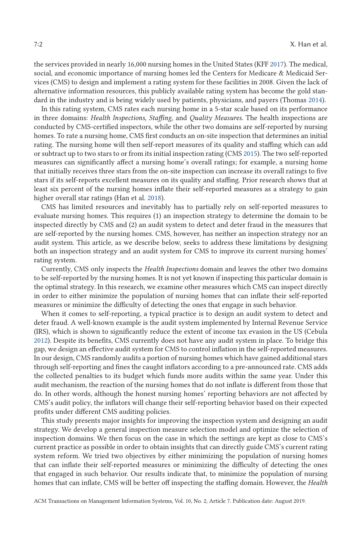the services provided in nearly 16,000 nursing homes in the United States (KFF [2017\)](#page-25-0). The medical, social, and economic importance of nursing homes led the Centers for Medicare & Medicaid Services (CMS) to design and implement a rating system for these facilities in 2008. Given the lack of alternative information resources, this publicly available rating system has become the gold standard in the industry and is being widely used by patients, physicians, and payers (Thomas [2014\)](#page-25-0).

In this rating system, CMS rates each nursing home in a 5-star scale based on its performance in three domains: *Health Inspections, Staffing*, and *Quality Measures.* The health inspections are conducted by CMS-certified inspectors, while the other two domains are self-reported by nursing homes. To rate a nursing home, CMS first conducts an on-site inspection that determines an initial rating. The nursing home will then self-report measures of its quality and staffing which can add or subtract up to two stars to or from its initial inspection rating (CMS [2015\)](#page-24-0). The two self-reported measures can significantly affect a nursing home's overall ratings; for example, a nursing home that initially receives three stars from the on-site inspection can increase its overall ratings to five stars if its self-reports excellent measures on its quality and staffing. Prior research shows that at least six percent of the nursing homes inflate their self-reported measures as a strategy to gain higher overall star ratings (Han et al. [2018\)](#page-24-0).

CMS has limited resources and inevitably has to partially rely on self-reported measures to evaluate nursing homes. This requires (1) an inspection strategy to determine the domain to be inspected directly by CMS and (2) an audit system to detect and deter fraud in the measures that are self-reported by the nursing homes. CMS, however, has neither an inspection strategy nor an audit system. This article, as we describe below, seeks to address these limitations by designing both an inspection strategy and an audit system for CMS to improve its current nursing homes' rating system.

Currently, CMS only inspects the *Health Inspections* domain and leaves the other two domains to be self-reported by the nursing homes. It is not yet known if inspecting this particular domain is the optimal strategy. In this research, we examine other measures which CMS can inspect directly in order to either minimize the population of nursing homes that can inflate their self-reported measures or minimize the difficulty of detecting the ones that engage in such behavior.

When it comes to self-reporting, a typical practice is to design an audit system to detect and deter fraud. A well-known example is the audit system implemented by Internal Revenue Service (IRS), which is shown to significantly reduce the extent of income tax evasion in the US (Cebula [2012\)](#page-24-0). Despite its benefits, CMS currently does not have any audit system in place. To bridge this gap, we design an effective audit system for CMS to control inflation in the self-reported measures. In our design, CMS randomly audits a portion of nursing homes which have gained additional stars through self-reporting and fines the caught inflators according to a pre-announced rate. CMS adds the collected penalties to its budget which funds more audits within the same year. Under this audit mechanism, the reaction of the nursing homes that do not inflate is different from those that do. In other words, although the honest nursing homes' reporting behaviors are not affected by CMS's audit policy, the inflators will change their self-reporting behavior based on their expected profits under different CMS auditing policies.

This study presents major insights for improving the inspection system and designing an audit strategy. We develop a general inspection measure selection model and optimize the selection of inspection domains. We then focus on the case in which the settings are kept as close to CMS's current practice as possible in order to obtain insights that can directly guide CMS's current rating system reform. We tried two objectives by either minimizing the population of nursing homes that can inflate their self-reported measures or minimizing the difficulty of detecting the ones that engaged in such behavior. Our results indicate that, to minimize the population of nursing homes that can inflate, CMS will be better off inspecting the staffing domain. However, the *Health*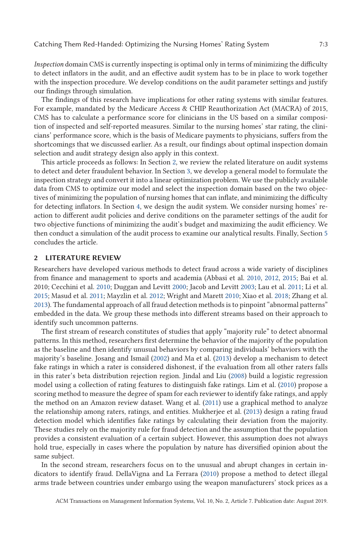*Inspection* domain CMS is currently inspecting is optimal only in terms of minimizing the difficulty to detect inflators in the audit, and an effective audit system has to be in place to work together with the inspection procedure. We develop conditions on the audit parameter settings and justify our findings through simulation.

The findings of this research have implications for other rating systems with similar features. For example, mandated by the Medicare Access & CHIP Reauthorization Act (MACRA) of 2015, CMS has to calculate a performance score for clinicians in the US based on a similar composition of inspected and self-reported measures. Similar to the nursing homes' star rating, the clinicians' performance score, which is the basis of Medicare payments to physicians, suffers from the shortcomings that we discussed earlier. As a result, our findings about optimal inspection domain selection and audit strategy design also apply in this context.

This article proceeds as follows: In Section 2, we review the related literature on audit systems to detect and deter fraudulent behavior. In Section [3,](#page-4-0) we develop a general model to formulate the inspection strategy and convert it into a linear optimization problem. We use the publicly available data from CMS to optimize our model and select the inspection domain based on the two objectives of minimizing the population of nursing homes that can inflate, and minimizing the difficulty for detecting inflators. In Section [4,](#page-14-0) we design the audit system. We consider nursing homes' reaction to different audit policies and derive conditions on the parameter settings of the audit for two objective functions of minimizing the audit's budget and maximizing the audit efficiency. We then conduct a simulation of the audit process to examine our analytical results. Finally, Section [5](#page-18-0) concludes the article.

# **2 LITERATURE REVIEW**

Researchers have developed various methods to detect fraud across a wide variety of disciplines from finance and management to sports and academia (Abbasi et al. [2010,](#page-24-0) [2012,](#page-24-0) [2015;](#page-24-0) Bai et al. 2010; Cecchini et al. [2010;](#page-24-0) Duggan and Levitt [2000;](#page-24-0) Jacob and Levitt [2003;](#page-25-0) Lau et al. [2011;](#page-25-0) Li et al. [2015;](#page-25-0) Masud et al. [2011;](#page-25-0) Mayzlin et al. [2012;](#page-25-0) Wright and Marett [2010;](#page-25-0) Xiao et al. [2018;](#page-25-0) Zhang et al. [2013\)](#page-25-0). The fundamental approach of all fraud detection methods is to pinpoint "abnormal patterns" embedded in the data. We group these methods into different streams based on their approach to identify such uncommon patterns.

The first stream of research constitutes of studies that apply "majority rule" to detect abnormal patterns. In this method, researchers first determine the behavior of the majority of the population as the baseline and then identify unusual behaviors by comparing individuals' behaviors with the majority's baseline. Josang and Ismail [\(2002\)](#page-25-0) and Ma et al. [\(2013\)](#page-25-0) develop a mechanism to detect fake ratings in which a rater is considered dishonest, if the evaluation from all other raters falls in this rater's beta distribution rejection region. Jindal and Liu [\(2008\)](#page-25-0) build a logistic regression model using a collection of rating features to distinguish fake ratings. Lim et al. [\(2010\)](#page-25-0) propose a scoring method to measure the degree of spam for each reviewer to identify fake ratings, and apply the method on an Amazon review dataset. Wang et al. [\(2011\)](#page-25-0) use a graphical method to analyze the relationship among raters, ratings, and entities. Mukherjee et al. [\(2013\)](#page-25-0) design a rating fraud detection model which identifies fake ratings by calculating their deviation from the majority. These studies rely on the majority rule for fraud detection and the assumption that the population provides a consistent evaluation of a certain subject. However, this assumption does not always hold true, especially in cases where the population by nature has diversified opinion about the same subject.

In the second stream, researchers focus on to the unusual and abrupt changes in certain indicators to identify fraud. DellaVigna and La Ferrara [\(2010\)](#page-24-0) propose a method to detect illegal arms trade between countries under embargo using the weapon manufacturers' stock prices as a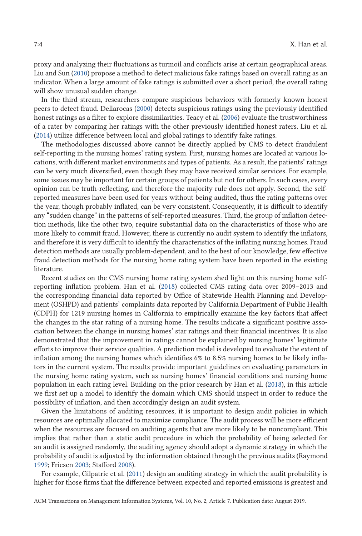proxy and analyzing their fluctuations as turmoil and conflicts arise at certain geographical areas. Liu and Sun [\(2010\)](#page-25-0) propose a method to detect malicious fake ratings based on overall rating as an indicator. When a large amount of fake ratings is submitted over a short period, the overall rating will show unusual sudden change.

In the third stream, researchers compare suspicious behaviors with formerly known honest peers to detect fraud. Dellarocas [\(2000\)](#page-24-0) detects suspicious ratings using the previously identified honest ratings as a filter to explore dissimilarities. Teacy et al. [\(2006\)](#page-25-0) evaluate the trustworthiness of a rater by comparing her ratings with the other previously identified honest raters. Liu et al. [\(2014\)](#page-25-0) utilize difference between local and global ratings to identify fake ratings.

The methodologies discussed above cannot be directly applied by CMS to detect fraudulent self-reporting in the nursing homes' rating system. First, nursing homes are located at various locations, with different market environments and types of patients. As a result, the patients' ratings can be very much diversified, even though they may have received similar services. For example, some issues may be important for certain groups of patients but not for others. In such cases, every opinion can be truth-reflecting, and therefore the majority rule does not apply. Second, the selfreported measures have been used for years without being audited, thus the rating patterns over the year, though probably inflated, can be very consistent. Consequently, it is difficult to identify any "sudden change" in the patterns of self-reported measures. Third, the group of inflation detection methods, like the other two, require substantial data on the characteristics of those who are more likely to commit fraud. However, there is currently no audit system to identify the inflators, and therefore it is very difficult to identify the characteristics of the inflating nursing homes. Fraud detection methods are usually problem-dependent, and to the best of our knowledge, few effective fraud detection methods for the nursing home rating system have been reported in the existing literature.

Recent studies on the CMS nursing home rating system shed light on this nursing home selfreporting inflation problem. Han et al. [\(2018\)](#page-24-0) collected CMS rating data over 2009–2013 and the corresponding financial data reported by Office of Statewide Health Planning and Development (OSHPD) and patients' complaints data reported by California Department of Public Health (CDPH) for 1219 nursing homes in California to empirically examine the key factors that affect the changes in the star rating of a nursing home. The results indicate a significant positive association between the change in nursing homes' star ratings and their financial incentives. It is also demonstrated that the improvement in ratings cannot be explained by nursing homes' legitimate efforts to improve their service qualities. A prediction model is developed to evaluate the extent of inflation among the nursing homes which identifies 6% to 8.5% nursing homes to be likely inflators in the current system. The results provide important guidelines on evaluating parameters in the nursing home rating system, such as nursing homes' financial conditions and nursing home population in each rating level. Building on the prior research by Han et al. [\(2018\)](#page-24-0), in this article we first set up a model to identify the domain which CMS should inspect in order to reduce the possibility of inflation, and then accordingly design an audit system.

Given the limitations of auditing resources, it is important to design audit policies in which resources are optimally allocated to maximize compliance. The audit process will be more efficient when the resources are focused on auditing agents that are more likely to be noncompliant. This implies that rather than a static audit procedure in which the probability of being selected for an audit is assigned randomly, the auditing agency should adopt a dynamic strategy in which the probability of audit is adjusted by the information obtained through the previous audits (Raymond [1999;](#page-25-0) Friesen [2003;](#page-24-0) Stafford [2008\)](#page-25-0).

For example, Gilpatric et al. [\(2011\)](#page-24-0) design an auditing strategy in which the audit probability is higher for those firms that the difference between expected and reported emissions is greatest and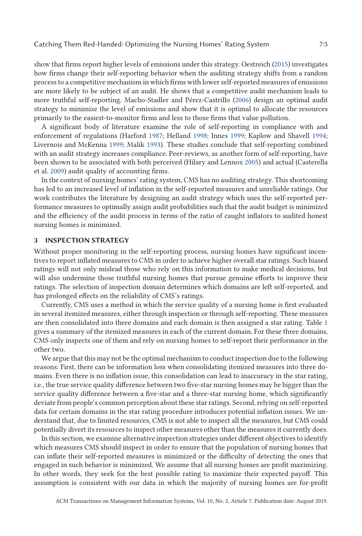<span id="page-4-0"></span>show that firms report higher levels of emissions under this strategy. Oestreich [\(2015\)](#page-25-0) investigates how firms change their self-reporting behavior when the auditing strategy shifts from a random process to a competitive mechanism in which firms with lower self-reported measures of emissions are more likely to be subject of an audit. He shows that a competitive audit mechanism leads to more truthful self-reporting. Macho-Stadler and Pérez-Castrillo [\(2006\)](#page-25-0) design an optimal audit strategy to minimize the level of emissions and show that it is optimal to allocate the resources primarily to the easiest-to-monitor firms and less to those firms that value pollution.

A significant body of literature examine the role of self-reporting in compliance with and enforcement of regulations (Harford [1987;](#page-24-0) Helland [1998;](#page-24-0) Innes [1999;](#page-24-0) Kaplow and Shavell [1994;](#page-25-0) Livernois and McKenna [1999;](#page-25-0) Malik [1993\)](#page-25-0). These studies conclude that self-reporting combined with an audit strategy increases compliance. Peer-reviews, as another form of self-reporting, have been shown to be associated with both perceived (Hilary and Lennox [2005\)](#page-24-0) and actual (Casterella et al. [2009\)](#page-24-0) audit quality of accounting firms.

In the context of nursing homes' rating system, CMS has no auditing strategy. This shortcoming has led to an increased level of inflation in the self-reported measures and unreliable ratings. Our work contributes the literature by designing an audit strategy which uses the self-reported performance measures to optimally assign audit probabilities such that the audit budget is minimized and the efficiency of the audit process in terms of the ratio of caught inflators to audited honest nursing homes is minimized.

### **3 INSPECTION STRATEGY**

Without proper monitoring in the self-reporting process, nursing homes have significant incentives to report inflated measures to CMS in order to achieve higher overall star ratings. Such biased ratings will not only mislead those who rely on this information to make medical decisions, but will also undermine those truthful nursing homes that pursue genuine efforts to improve their ratings. The selection of inspection domain determines which domains are left self-reported, and has prolonged effects on the reliability of CMS's ratings.

Currently, CMS uses a method in which the service quality of a nursing home is first evaluated in several itemized measures, either through inspection or through self-reporting. These measures are then consolidated into three domains and each domain is then assigned a star rating. Table [1](#page-5-0) gives a summary of the itemized measures in each of the current domain. For these three domains, CMS only inspects one of them and rely on nursing homes to self-report their performance in the other two.

We argue that this may not be the optimal mechanism to conduct inspection due to the following reasons: First, there can be information loss when consolidating itemized measures into three domains. Even there is no inflation issue, this consolidation can lead to inaccuracy in the star rating, i.e., the true service quality difference between two five-star nursing homes may be bigger than the service quality difference between a five-star and a three-star nursing home, which significantly deviate from people's common perception about these star ratings. Second, relying on self-reported data for certain domains in the star rating procedure introduces potential inflation issues. We understand that, due to limited resources, CMS is not able to inspect all the measures, but CMS could potentially divert its resources to inspect other measures other than the measures it currently does.

In this section, we examine alternative inspection strategies under different objectives to identify which measures CMS should inspect in order to ensure that the population of nursing homes that can inflate their self-reported measures is minimized or the difficulty of detecting the ones that engaged in such behavior is minimized. We assume that all nursing homes are profit maximizing. In other words, they seek for the best possible rating to maximize their expected payoff. This assumption is consistent with our data in which the majority of nursing homes are for-profit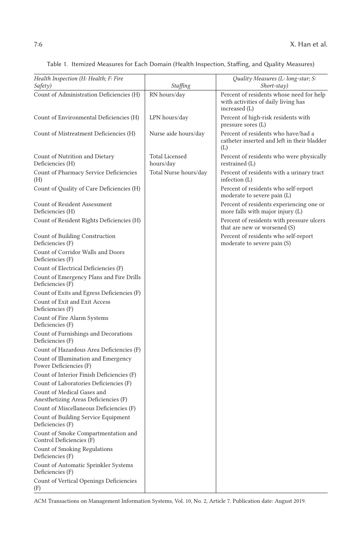| Health Inspection (H: Health; F: Fire<br>Safety)                   | Staffing                           | Quality Measures (L: long-star; S:<br>$Short$ -stay)                                             |
|--------------------------------------------------------------------|------------------------------------|--------------------------------------------------------------------------------------------------|
| Count of Administration Deficiencies (H)                           | RN hours/day                       | Percent of residents whose need for help<br>with activities of daily living has<br>increased (L) |
| Count of Environmental Deficiencies (H)                            | LPN hours/day                      | Percent of high-risk residents with<br>pressure sores (L)                                        |
| Count of Mistreatment Deficiencies (H)                             | Nurse aide hours/day               | Percent of residents who have/had a<br>catheter inserted and left in their bladder<br>(L)        |
| Count of Nutrition and Dietary<br>Deficiencies (H)                 | <b>Total Licensed</b><br>hours/day | Percent of residents who were physically<br>restrained (L)                                       |
| Count of Pharmacy Service Deficiencies<br>(H)                      | Total Nurse hours/day              | Percent of residents with a urinary tract<br>infection $(L)$                                     |
| Count of Quality of Care Deficiencies (H)                          |                                    | Percent of residents who self-report<br>moderate to severe pain (L)                              |
| Count of Resident Assessment<br>Deficiencies (H)                   |                                    | Percent of residents experiencing one or<br>more falls with major injury (L)                     |
| Count of Resident Rights Deficiencies (H)                          |                                    | Percent of residents with pressure ulcers<br>that are new or worsened (S)                        |
| Count of Building Construction<br>Deficiencies (F)                 |                                    | Percent of residents who self-report<br>moderate to severe pain (S)                              |
| Count of Corridor Walls and Doors<br>Deficiencies (F)              |                                    |                                                                                                  |
| Count of Electrical Deficiencies (F)                               |                                    |                                                                                                  |
| Count of Emergency Plans and Fire Drills<br>Deficiencies (F)       |                                    |                                                                                                  |
| Count of Exits and Egress Deficiencies (F)                         |                                    |                                                                                                  |
| Count of Exit and Exit Access<br>Deficiencies (F)                  |                                    |                                                                                                  |
| Count of Fire Alarm Systems<br>Deficiencies (F)                    |                                    |                                                                                                  |
| Count of Furnishings and Decorations<br>Deficiencies (F)           |                                    |                                                                                                  |
| Count of Hazardous Area Deficiencies (F)                           |                                    |                                                                                                  |
| Count of Illumination and Emergency<br>Power Deficiencies (F)      |                                    |                                                                                                  |
| Count of Interior Finish Deficiencies (F)                          |                                    |                                                                                                  |
| Count of Laboratories Deficiencies (F)                             |                                    |                                                                                                  |
| Count of Medical Gases and<br>Anesthetizing Areas Deficiencies (F) |                                    |                                                                                                  |
| Count of Miscellaneous Deficiencies (F)                            |                                    |                                                                                                  |
| Count of Building Service Equipment<br>Deficiencies (F)            |                                    |                                                                                                  |
| Count of Smoke Compartmentation and<br>Control Deficiencies (F)    |                                    |                                                                                                  |
| Count of Smoking Regulations<br>Deficiencies (F)                   |                                    |                                                                                                  |
| Count of Automatic Sprinkler Systems<br>Deficiencies (F)           |                                    |                                                                                                  |
| Count of Vertical Openings Deficiencies<br>(F)                     |                                    |                                                                                                  |

<span id="page-5-0"></span>Table 1. Itemized Measures for Each Domain (Health Inspection, Staffing, and Quality Measures)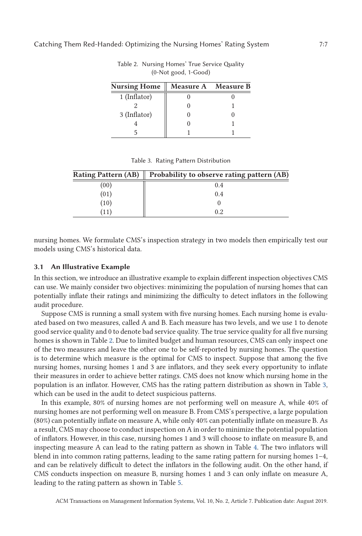| <b>Nursing Home</b> | Measure A Measure B |  |
|---------------------|---------------------|--|
| 1 (Inflator)        |                     |  |
|                     |                     |  |
| 3 (Inflator)        |                     |  |
|                     |                     |  |
|                     |                     |  |

Table 2. Nursing Homes' True Service Quality (0-Not good, 1-Good)

|  |  |  |  | Table 3. Rating Pattern Distribution |  |  |
|--|--|--|--|--------------------------------------|--|--|
|--|--|--|--|--------------------------------------|--|--|

|      | Rating Pattern $(AB)$   Probability to observe rating pattern $(AB)$ |
|------|----------------------------------------------------------------------|
| (00) | 0.4                                                                  |
| (01) | 0.4                                                                  |
| (10) |                                                                      |
|      | 0.2                                                                  |

nursing homes. We formulate CMS's inspection strategy in two models then empirically test our models using CMS's historical data.

### **3.1 An Illustrative Example**

In this section, we introduce an illustrative example to explain different inspection objectives CMS can use. We mainly consider two objectives: minimizing the population of nursing homes that can potentially inflate their ratings and minimizing the difficulty to detect inflators in the following audit procedure.

Suppose CMS is running a small system with five nursing homes. Each nursing home is evaluated based on two measures, called A and B. Each measure has two levels, and we use 1 to denote good service quality and 0 to denote bad service quality. The true service quality for all five nursing homes is shown in Table 2. Due to limited budget and human resources, CMS can only inspect one of the two measures and leave the other one to be self-reported by nursing homes. The question is to determine which measure is the optimal for CMS to inspect. Suppose that among the five nursing homes, nursing homes 1 and 3 are inflators, and they seek every opportunity to inflate their measures in order to achieve better ratings. CMS does not know which nursing home in the population is an inflator. However, CMS has the rating pattern distribution as shown in Table 3, which can be used in the audit to detect suspicious patterns.

In this example, 80% of nursing homes are not performing well on measure A, while 40% of nursing homes are not performing well on measure B. From CMS's perspective, a large population (80%) can potentially inflate on measure A, while only 40% can potentially inflate on measure B. As a result, CMS may choose to conduct inspection on A in order to minimize the potential population of inflators. However, in this case, nursing homes 1 and 3 will choose to inflate on measure B, and inspecting measure A can lead to the rating pattern as shown in Table [4.](#page-7-0) The two inflators will blend in into common rating patterns, leading to the same rating pattern for nursing homes 1–4, and can be relatively difficult to detect the inflators in the following audit. On the other hand, if CMS conducts inspection on measure B, nursing homes 1 and 3 can only inflate on measure A, leading to the rating pattern as shown in Table [5.](#page-7-0)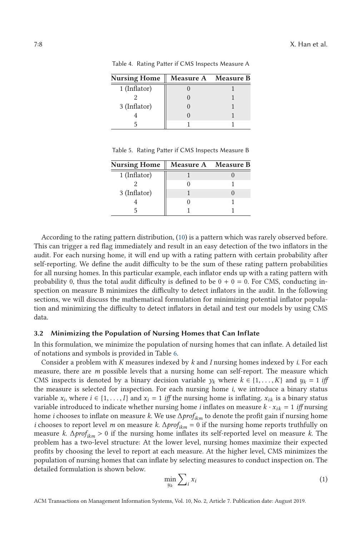| <b>Nursing Home</b> | Measure A Measure B |  |
|---------------------|---------------------|--|
| 1 (Inflator)        |                     |  |
|                     |                     |  |
| 3 (Inflator)        |                     |  |
|                     |                     |  |
|                     |                     |  |

<span id="page-7-0"></span>Table 4. Rating Patter if CMS Inspects Measure A

Table 5. Rating Patter if CMS Inspects Measure B

| <b>Nursing Home</b> | Measure A Measure B |  |
|---------------------|---------------------|--|
| 1 (Inflator)        |                     |  |
|                     |                     |  |
| 3 (Inflator)        |                     |  |
|                     |                     |  |
|                     |                     |  |
|                     |                     |  |

According to the rating pattern distribution, [\(10\)](#page-11-0) is a pattern which was rarely observed before. This can trigger a red flag immediately and result in an easy detection of the two inflators in the audit. For each nursing home, it will end up with a rating pattern with certain probability after self-reporting. We define the audit difficulty to be the sum of these rating pattern probabilities for all nursing homes. In this particular example, each inflator ends up with a rating pattern with probability 0, thus the total audit difficulty is defined to be  $0 + 0 = 0$ . For CMS, conducting inspection on measure B minimizes the difficulty to detect inflators in the audit. In the following sections, we will discuss the mathematical formulation for minimizing potential inflator population and minimizing the difficulty to detect inflators in detail and test our models by using CMS data.

### **3.2 Minimizing the Population of Nursing Homes that Can Inflate**

In this formulation, we minimize the population of nursing homes that can inflate. A detailed list of notations and symbols is provided in Table [6.](#page-8-0)

Consider a problem with *K* measures indexed by *k* and *I* nursing homes indexed by *i*. For each measure, there are *m* possible levels that a nursing home can self-report. The measure which CMS inspects is denoted by a binary decision variable  $y_k$  where  $k \in \{1, \ldots, K\}$  and  $y_k = 1$  *iff* the measure is selected for inspection. For each nursing home *i*, we introduce a binary status variable  $x_i$ , where  $i \in \{1, \ldots, I\}$  and  $x_i = 1$  *iff* the nursing home is inflating.  $x_{ik}$  is a binary status variable introduced to indicate whether nursing home *i* inflates on measure  $k \cdot x_{ik} = 1$  *iff* nursing home *i* chooses to inflate on measure *k*. We use Δ*profikm* to denote the profit gain if nursing home *i* chooses to report level *m* on measure *k*.  $\Delta prof_{ikm} = 0$  if the nursing home reports truthfully on measure *k*.  $\Delta prof_{ikm} > 0$  if the nursing home inflates its self-reported level on measure *k*. The problem has a two-level structure: At the lower level, nursing homes maximize their expected profits by choosing the level to report at each measure. At the higher level, CMS minimizes the population of nursing homes that can inflate by selecting measures to conduct inspection on. The detailed formulation is shown below.

$$
\min_{y_k} \sum_i x_i \tag{1}
$$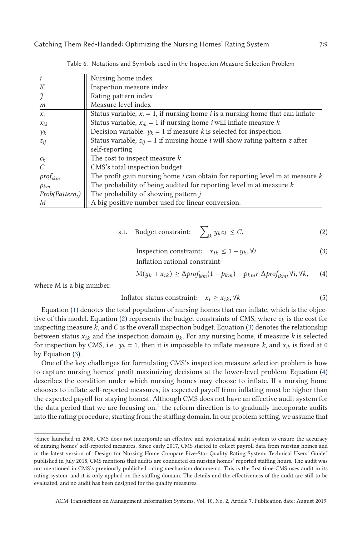<span id="page-8-0"></span>

| $\dot{i}$                   | Nursing home index                                                                             |
|-----------------------------|------------------------------------------------------------------------------------------------|
| К                           | Inspection measure index                                                                       |
|                             | Rating pattern index                                                                           |
| $\boldsymbol{m}$            | Measure level index                                                                            |
| $x_i$                       | Status variable, $x_i = 1$ , if nursing home <i>i</i> is a nursing home that can inflate       |
| $x_{ik}$                    | Status variable, $x_{ik} = 1$ if nursing home <i>i</i> will inflate measure <i>k</i>           |
| $y_k$                       | Decision variable. $y_k = 1$ if measure k is selected for inspection                           |
| $z_{ij}$                    | Status variable, $z_{ij} = 1$ if nursing home <i>i</i> will show rating pattern <i>z</i> after |
|                             | self-reporting                                                                                 |
| $c_k$                       | The cost to inspect measure $k$                                                                |
| C                           | CMS's total inspection budget                                                                  |
| $prof_{ikm}$                | The profit gain nursing home $i$ can obtain for reporting level m at measure $k$               |
| $p_{km}$                    | The probability of being audited for reporting level $m$ at measure $k$                        |
| Prob(Pattern <sub>i</sub> ) | The probability of showing pattern j                                                           |
| $\boldsymbol{M}$            | A big positive number used for linear conversion.                                              |

Table 6. Notations and Symbols used in the Inspection Measure Selection Problem

s.t. Budget constraint: 
$$
\sum_{k} y_{k} c_{k} \leq C,
$$
 (2)

Inspection constraint:  $x_{ik} \leq 1 - y_k, \forall i$  (3) Inflation rational constraint:

$$
M(y_k + x_{ik}) \ge \Delta \text{prof}_{ikm}(1 - p_{km}) - p_{km}r \Delta \text{prof}_{ikm}, \forall i, \forall k,
$$
 (4)

where M is a big number.

Inflator status constraint: 
$$
x_i \ge x_{ik}
$$
,  $\forall k$  (5)

Equation [\(1\)](#page-7-0) denotes the total population of nursing homes that can inflate, which is the objective of this model. Equation (2) represents the budget constraints of CMS, where  $c_k$  is the cost for inspecting measure  $k$ , and  $C$  is the overall inspection budget. Equation (3) denotes the relationship between status  $x_{ik}$  and the inspection domain  $y_k$ . For any nursing home, if measure *k* is selected for inspection by CMS, i.e.,  $y_k = 1$ , then it is impossible to inflate measure *k*, and  $x_{ik}$  is fixed at 0 by Equation (3).

One of the key challenges for formulating CMS's inspection measure selection problem is how to capture nursing homes' profit maximizing decisions at the lower-level problem. Equation (4) describes the condition under which nursing homes may choose to inflate. If a nursing home chooses to inflate self-reported measures, its expected payoff from inflating must be higher than the expected payoff for staying honest. Although CMS does not have an effective audit system for the data period that we are focusing on, $<sup>1</sup>$  the reform direction is to gradually incorporate audits</sup> into the rating procedure, starting from the staffing domain. In our problem setting, we assume that

<sup>1</sup>Since launched in 2008, CMS does not incorporate an effective and systematical audit system to ensure the accuracy of nursing homes' self-reported measures. Since early 2017, CMS started to collect payroll data from nursing homes and in the latest version of "Design for Nursing Home Compare Five-Star Quality Rating System: Technical Users' Guide" published in July 2018, CMS mentions that audits are conducted on nursing homes' reported staffing hours. The audit was not mentioned in CMS's previously published rating mechanism documents. This is the first time CMS uses audit in its rating system, and it is only applied on the staffing domain. The details and the effectiveness of the audit are still to be evaluated, and no audit has been designed for the quality measures.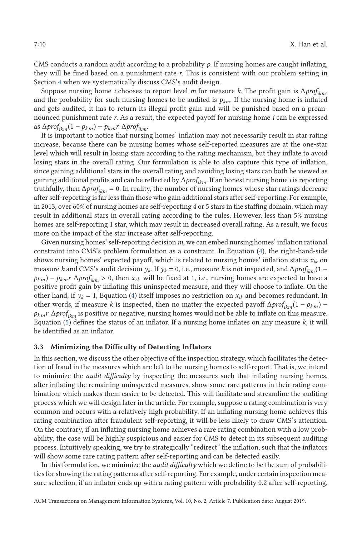<span id="page-9-0"></span>CMS conducts a random audit according to a probability *p*. If nursing homes are caught inflating, they will be fined based on a punishment rate *r*. This is consistent with our problem setting in Section [4](#page-14-0) when we systematically discuss CMS's audit design.

Suppose nursing home *i* chooses to report level *m* for measure *k*. The profit gain is Δ*profikm*, and the probability for such nursing homes to be audited is  $p_{km}$ . If the nursing home is inflated and gets audited, it has to return its illegal profit gain and will be punished based on a preannounced punishment rate *r*. As a result, the expected payoff for nursing home *i* can be expressed as  $\Delta \text{prof}_{ikm}(1 - p_{km}) - p_{km}r \Delta \text{prof}_{ikm}$ .

It is important to notice that nursing homes' inflation may not necessarily result in star rating increase, because there can be nursing homes whose self-reported measures are at the one-star level which will result in losing stars according to the rating mechanism, but they inflate to avoid losing stars in the overall rating. Our formulation is able to also capture this type of inflation, since gaining additional stars in the overall rating and avoiding losing stars can both be viewed as gaining additional profits and can be reflected by Δ*profikm*. If an honest nursing home *i* is reporting truthfully, then  $\Delta prof_{ikm} = 0$ . In reality, the number of nursing homes whose star ratings decrease after self-reporting is far less than those who gain additional stars after self-reporting. For example, in 2013, over 60% of nursing homes are self-reporting 4 or 5 stars in the staffing domain, which may result in additional stars in overall rating according to the rules. However, less than 5% nursing homes are self-reporting 1 star, which may result in decreased overall rating. As a result, we focus more on the impact of the star increase after self-reporting.

Given nursing homes' self-reporting decision *m*, we can embed nursing homes' inflation rational constraint into CMS's problem formulation as a constraint. In Equation [\(4\)](#page-8-0), the right-hand-side shows nursing homes' expected payoff, which is related to nursing homes' inflation status *xik* on measure *k* and CMS's audit decision  $y_k$ . If  $y_k = 0$ , i.e., measure *k* is not inspected, and  $\Delta prof_{ikm}(1$  $p_{km}$  ) −  $p_{km}$ *r*  $\Delta$ *prof<sub>ikm</sub>* > 0, then  $x_{ik}$  will be fixed at 1, i.e., nursing homes are expected to have a positive profit gain by inflating this uninspected measure, and they will choose to inflate. On the other hand, if  $y_k = 1$ , Equation [\(4\)](#page-8-0) itself imposes no restriction on  $x_{ik}$  and becomes redundant. In other words, if measure *k* is inspected, then no matter the expected payoff  $\Delta \text{prof}_{ikm}(1 - p_{km})$  – *pkmr* Δ*profikm* is positive or negative, nursing homes would not be able to inflate on this measure. Equation [\(5\)](#page-8-0) defines the status of an inflator. If a nursing home inflates on any measure *k*, it will be identified as an inflator.

### **3.3 Minimizing the Difficulty of Detecting Inflators**

In this section, we discuss the other objective of the inspection strategy, which facilitates the detection of fraud in the measures which are left to the nursing homes to self-report. That is, we intend to minimize the *audit difficulty* by inspecting the measures such that inflating nursing homes, after inflating the remaining uninspected measures, show some rare patterns in their rating combination, which makes them easier to be detected. This will facilitate and streamline the auditing process which we will design later in the article. For example, suppose a rating combination is very common and occurs with a relatively high probability. If an inflating nursing home achieves this rating combination after fraudulent self-reporting, it will be less likely to draw CMS's attention. On the contrary, if an inflating nursing home achieves a rare rating combination with a low probability, the case will be highly suspicious and easier for CMS to detect in its subsequent auditing process. Intuitively speaking, we try to strategically "redirect" the inflation, such that the inflators will show some rare rating pattern after self-reporting and can be detected easily.

In this formulation, we minimize the *audit difficulty* which we define to be the sum of probabilities for showing the rating patterns after self-reporting. For example, under certain inspection measure selection, if an inflator ends up with a rating pattern with probability 0.2 after self-reporting,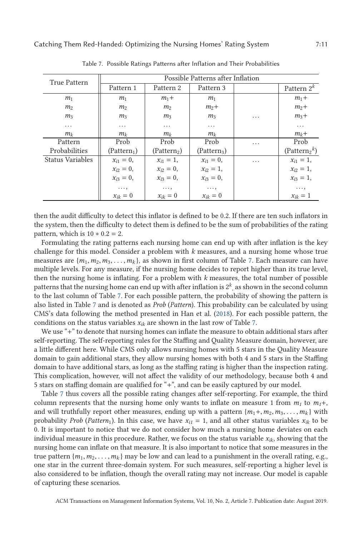| True Pattern     | Possible Patterns after Inflation |                         |                         |          |                 |  |  |
|------------------|-----------------------------------|-------------------------|-------------------------|----------|-----------------|--|--|
|                  | Pattern 1                         | Pattern 2               | Pattern 3               |          | Pattern $2^k$   |  |  |
| m <sub>1</sub>   | m <sub>1</sub>                    | $m_1 +$                 | m <sub>1</sub>          |          | $m_1 +$         |  |  |
| m <sub>2</sub>   | m <sub>2</sub>                    | m <sub>2</sub>          | $m_2 +$                 |          | $m_2 +$         |  |  |
| m <sub>3</sub>   | m <sub>3</sub>                    | m <sub>3</sub>          | m <sub>3</sub>          | .        | $m_3+$          |  |  |
| $\cdots$         | $\cdots$                          | .                       | .                       |          | $\cdots$        |  |  |
| $m_k$            | $m_k$                             | $m_k$                   | $m_k$                   |          | $m_k +$         |  |  |
| Pattern          | Prob                              | Prob                    | Prob                    | $\cdots$ | Prob            |  |  |
| Probabilities    | (Pattern <sub>1</sub> )           | (Pattern <sub>2</sub> ) | (Pattern <sub>3</sub> ) |          | $(Pattern_2^k)$ |  |  |
| Status Variables | $x_{i1} = 0$ ,                    | $x_{i1} = 1$ ,          | $x_{i1} = 0$ ,          | .        | $x_{i1} = 1$ ,  |  |  |
|                  | $x_{i2} = 0$ ,                    | $x_{i2} = 0$ ,          | $x_{i2} = 1$ ,          |          | $x_{i2} = 1$ ,  |  |  |
|                  | $x_{i3} = 0$ ,                    | $x_{i3} = 0$ ,          | $x_{i3} = 0$ ,          |          | $x_{i3} = 1$ ,  |  |  |
|                  | $\ldots,$                         | . ,                     | . ,                     |          | . ,             |  |  |
|                  | $x_{ik} = 0$                      | $x_{ik} = 0$            | $x_{ik} = 0$            |          | $x_{ik}=1$      |  |  |

Table 7. Possible Ratings Patterns after Inflation and Their Probabilities

then the audit difficulty to detect this inflator is defined to be 0.2. If there are ten such inflators in the system, then the difficulty to detect them is defined to be the sum of probabilities of the rating pattern, which is  $10 * 0.2 = 2$ .

Formulating the rating patterns each nursing home can end up with after inflation is the key challenge for this model. Consider a problem with *k* measures, and a nursing home whose true measures are  $\{m_1, m_2, m_3, \ldots, m_k\}$ , as shown in first column of Table 7. Each measure can have multiple levels. For any measure, if the nursing home decides to report higher than its true level, then the nursing home is inflating. For a problem with *k* measures, the total number of possible patterns that the nursing home can end up with after inflation is  $2^k_{\, \cdot}$  as shown in the second column to the last column of Table 7. For each possible pattern, the probability of showing the pattern is also listed in Table 7 and is denoted as *Prob* (*Pattern*). This probability can be calculated by using CMS's data following the method presented in Han et al. [\(2018\)](#page-24-0). For each possible pattern, the conditions on the status variables  $x_{ik}$  are shown in the last row of Table 7.

We use "+" to denote that nursing homes can inflate the measure to obtain additional stars after self-reporting. The self-reporting rules for the Staffing and Quality Measure domain, however, are a little different here. While CMS only allows nursing homes with 5 stars in the Quality Measure domain to gain additional stars, they allow nursing homes with both 4 and 5 stars in the Staffing domain to have additional stars, as long as the staffing rating is higher than the inspection rating. This complication, however, will not affect the validity of our methodology, because both 4 and 5 stars on staffing domain are qualified for "+", and can be easily captured by our model.

Table 7 thus covers all the possible rating changes after self-reporting. For example, the third column represents that the nursing home only wants to inflate on measure 1 from  $m_1$  to  $m_1$ +, and will truthfully report other measures, ending up with a pattern  ${m_1 + m_2, m_3, \ldots, m_k}$  with probability *Prob* (*Pattern*<sub>1</sub>). In this case, we have  $x_{i1} = 1$ , and all other status variables  $x_{ik}$  to be 0. It is important to notice that we do not consider how much a nursing home deviates on each individual measure in this procedure. Rather, we focus on the status variable  $x_{ik}$ , showing that the nursing home can inflate on that measure. It is also important to notice that some measures in the true pattern  $\{m_1, m_2, \ldots, m_k\}$  may be low and can lead to a punishment in the overall rating, e.g., one star in the current three-domain system. For such measures, self-reporting a higher level is also considered to be inflation, though the overall rating may not increase. Our model is capable of capturing these scenarios.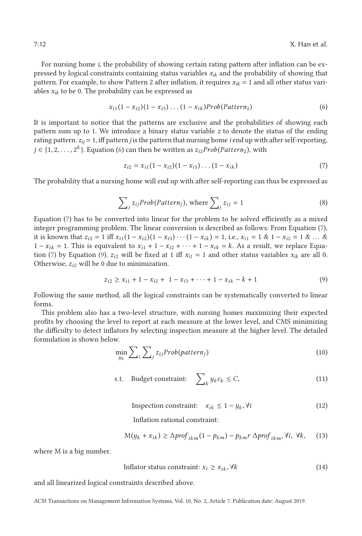<span id="page-11-0"></span>For nursing home *i*, the probability of showing certain rating pattern after inflation can be expressed by logical constraints containing status variables  $x_{ik}$  and the probability of showing that pattern. For example, to show Pattern 2 after inflation, it requires  $x_{ik} = 1$  and all other status variables  $x_{ik}$  to be 0. The probability can be expressed as

$$
x_{i1}(1-x_{i2})(1-x_{i3})\dots(1-x_{ik})Prob(Pattern_2)
$$
 (6)

It is important to notice that the patterns are exclusive and the probabilities of showing each pattern sum up to 1. We introduce a binary status variable *z* to denote the status of the ending rating pattern.  $z_{ij} = 1$ , iff pattern *j* is the pattern that nursing home *i* end up with after self-reporting, *j* ∈ {1, 2, . . . , 2<sup>*k*</sup>}. Equation (6) can then be written as  $z_{i2}Prob(Pattern_2)$ , with

$$
z_{i2} = x_{i1}(1 - x_{i2})(1 - x_{i3})\dots(1 - x_{ik})
$$
\n(7)

The probability that a nursing home will end up with after self-reporting can thus be expressed as

$$
\sum_{j} z_{ij} Prob(Pattern_j), \text{ where } \sum_{j} z_{ij} = 1 \tag{8}
$$

Equation (7) has to be converted into linear for the problem to be solved efficiently as a mixed integer programming problem. The linear conversion is described as follows: From Equation (7), it is known that  $z_{i2} = 1$  iff  $x_{i1}(1 - x_{i2})(1 - x_{i3}) \cdots (1 - x_{ik}) = 1$ , i.e.,  $x_{i1} = 1 \& 1 - x_{i2} = 1 \& \dots \&$  $1 - x_{ik} = 1$ . This is equivalent to  $x_{i1} + 1 - x_{i2} + \cdots + 1 - x_{ik} = k$ . As a result, we replace Equation (7) by Equation (9).  $z_{i2}$  will be fixed at 1 iff  $x_{i1} = 1$  and other status variables  $x_{ik}$  are all 0. Otherwise,  $z_{i2}$  will be 0 due to minimization.

$$
z_{i2} \ge x_{i1} + 1 - x_{i2} + 1 - x_{i3} + \dots + 1 - x_{ik} - k + 1 \tag{9}
$$

Following the same method, all the logical constraints can be systematically converted to linear forms.

This problem also has a two-level structure, with nursing homes maximizing their expected profits by choosing the level to report at each measure at the lower level, and CMS minimizing the difficulty to detect inflators by selecting inspection measure at the higher level. The detailed formulation is shown below.

$$
\min_{y_k} \sum_{i} \sum_{j} z_{ij} Prob(pathern_j)
$$
\n(10)

s.t. Budget constraint: 
$$
\sum_{k} y_{k} c_{k} \leq C,
$$
 (11)

Inspection constraint:  $x_{ik} \leq 1 - y_k, \forall i$  (12)

Inflation rational constraint:

$$
M(y_k + x_{ik}) \ge \Delta \text{prof}_{ikm}(1 - p_{km}) - p_{km}r \Delta \text{prof}_{ikm}, \forall i, \forall k,
$$
 (13)

where M is a big number.

Inflator status constraint: 
$$
x_i \ge x_{ik}
$$
,  $\forall k$  (14)

and all linearized logical constraints described above.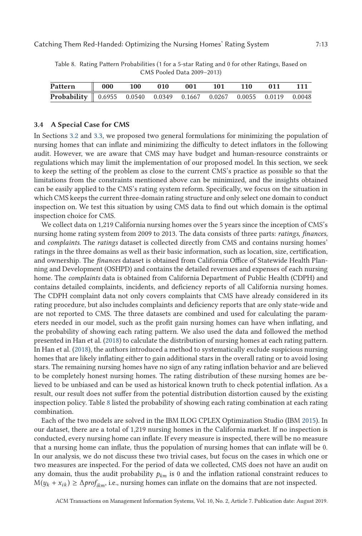Catching Them Red-Handed: Optimizing the Nursing Homes' Rating System 7:13

Table 8. Rating Pattern Probabilities (1 for a 5-star Rating and 0 for other Ratings, Based on CMS Pooled Data 2009–2013)

| Pattern                                                                    | $\parallel$ 000 | 100 | - 010 | 001 | <b>101</b> | 110 | - 011 | -111 |
|----------------------------------------------------------------------------|-----------------|-----|-------|-----|------------|-----|-------|------|
| <b>Probability</b> 0.6955 0.0540 0.0349 0.1667 0.0267 0.0055 0.0119 0.0048 |                 |     |       |     |            |     |       |      |

### **3.4 A Special Case for CMS**

In Sections [3.2](#page-7-0) and [3.3,](#page-9-0) we proposed two general formulations for minimizing the population of nursing homes that can inflate and minimizing the difficulty to detect inflators in the following audit. However, we are aware that CMS may have budget and human-resource constraints or regulations which may limit the implementation of our proposed model. In this section, we seek to keep the setting of the problem as close to the current CMS's practice as possible so that the limitations from the constraints mentioned above can be minimized, and the insights obtained can be easily applied to the CMS's rating system reform. Specifically, we focus on the situation in which CMS keeps the current three-domain rating structure and only select one domain to conduct inspection on. We test this situation by using CMS data to find out which domain is the optimal inspection choice for CMS.

We collect data on 1,219 California nursing homes over the 5 years since the inception of CMS's nursing home rating system from 2009 to 2013. The data consists of three parts: *ratings, finances,* and *complaints*. The *ratings* dataset is collected directly from CMS and contains nursing homes' ratings in the three domains as well as their basic information, such as location, size, certification, and ownership. The *finances* dataset is obtained from California Office of Statewide Health Planning and Development (OSHPD) and contains the detailed revenues and expenses of each nursing home. The *complaints* data is obtained from California Department of Public Health (CDPH) and contains detailed complaints, incidents, and deficiency reports of all California nursing homes. The CDPH complaint data not only covers complaints that CMS have already considered in its rating procedure, but also includes complaints and deficiency reports that are only state-wide and are not reported to CMS. The three datasets are combined and used for calculating the parameters needed in our model, such as the profit gain nursing homes can have when inflating, and the probability of showing each rating pattern. We also used the data and followed the method presented in Han et al. [\(2018\)](#page-24-0) to calculate the distribution of nursing homes at each rating pattern. In Han et al. [\(2018\)](#page-24-0), the authors introduced a method to systematically exclude suspicious nursing homes that are likely inflating either to gain additional stars in the overall rating or to avoid losing stars. The remaining nursing homes have no sign of any rating inflation behavior and are believed to be completely honest nursing homes. The rating distribution of these nursing homes are believed to be unbiased and can be used as historical known truth to check potential inflation. As a result, our result does not suffer from the potential distribution distortion caused by the existing inspection policy. Table 8 listed the probability of showing each rating combination at each rating combination.

Each of the two models are solved in the IBM ILOG CPLEX Optimization Studio (IBM [2015\)](#page-24-0). In our dataset, there are a total of 1,219 nursing homes in the California market. If no inspection is conducted, every nursing home can inflate. If every measure is inspected, there will be no measure that a nursing home can inflate, thus the population of nursing homes that can inflate will be 0. In our analysis, we do not discuss these two trivial cases, but focus on the cases in which one or two measures are inspected. For the period of data we collected, CMS does not have an audit on any domain, thus the audit probability  $p_{km}$  is 0 and the inflation rational constraint reduces to  $M(y_k + x_{ik}) \ge \Delta \text{prof}_{ikm}$ , i.e., nursing homes can inflate on the domains that are not inspected.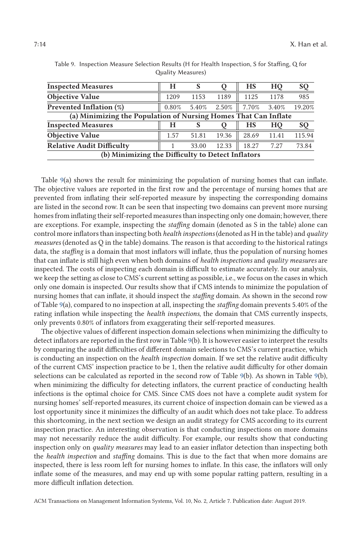| <b>Inspected Measures</b>                                       | Н     |       | Q        | <b>HS</b> | HQ    | SQ     |  |  |  |
|-----------------------------------------------------------------|-------|-------|----------|-----------|-------|--------|--|--|--|
| <b>Objective Value</b>                                          | 1209  | 1153  | 1189     | 1125      | 1178  | 985    |  |  |  |
| Prevented Inflation (%)                                         | 0.80% | 5.40% | $2.50\%$ | 7.70%     | 3.40% | 19.20% |  |  |  |
| (a) Minimizing the Population of Nursing Homes That Can Inflate |       |       |          |           |       |        |  |  |  |
| <b>Inspected Measures</b>                                       | Н     | S     |          | <b>HS</b> | HO    | SQ     |  |  |  |
| <b>Objective Value</b>                                          | 1.57  | 51.81 | 19.36    | 28.69     | 11.41 | 115.94 |  |  |  |
| <b>Relative Audit Difficulty</b>                                |       | 33.00 | 12.33    | 18.27     | 7.27  | 73.84  |  |  |  |
| (b) Minimizing the Difficulty to Detect Inflators               |       |       |          |           |       |        |  |  |  |

Table 9. Inspection Measure Selection Results (H for Health Inspection, S for Staffing, Q for Quality Measures)

Table 9(a) shows the result for minimizing the population of nursing homes that can inflate. The objective values are reported in the first row and the percentage of nursing homes that are prevented from inflating their self-reported measure by inspecting the corresponding domains are listed in the second row. It can be seen that inspecting two domains can prevent more nursing homes from inflating their self-reported measures than inspecting only one domain; however, there are exceptions. For example, inspecting the *staffing* domain (denoted as S in the table) alone can control more inflators than inspecting both *health inspections*(denoted as H in the table) and *quality measures* (denoted as Q in the table) domains. The reason is that according to the historical ratings data, the *staffing* is a domain that most inflators will inflate, thus the population of nursing homes that can inflate is still high even when both domains of *health inspections* and *quality measures* are inspected. The costs of inspecting each domain is difficult to estimate accurately. In our analysis, we keep the setting as close to CMS's current setting as possible, i.e., we focus on the cases in which only one domain is inspected. Our results show that if CMS intends to minimize the population of nursing homes that can inflate, it should inspect the *staffing* domain. As shown in the second row of Table 9(a), compared to no inspection at all, inspecting the *staffing* domain prevents 5.40% of the rating inflation while inspecting the *health inspections*, the domain that CMS currently inspects, only prevents 0.80% of inflators from exaggerating their self-reported measures.

The objective values of different inspection domain selections when minimizing the difficulty to detect inflators are reported in the first row in Table 9(b). It is however easier to interpret the results by comparing the audit difficulties of different domain selections to CMS's current practice, which is conducting an inspection on the *health inspection* domain. If we set the relative audit difficulty of the current CMS' inspection practice to be 1, then the relative audit difficulty for other domain selections can be calculated as reported in the second row of Table 9(b). As shown in Table 9(b), when minimizing the difficulty for detecting inflators, the current practice of conducting health infections is the optimal choice for CMS. Since CMS does not have a complete audit system for nursing homes' self-reported measures, its current choice of inspection domain can be viewed as a lost opportunity since it minimizes the difficulty of an audit which does not take place. To address this shortcoming, in the next section we design an audit strategy for CMS according to its current inspection practice. An interesting observation is that conducting inspections on more domains may not necessarily reduce the audit difficulty. For example, our results show that conducting inspection only on *quality measures* may lead to an easier inflator detection than inspecting both the *health inspection* and *staffing* domains. This is due to the fact that when more domains are inspected, there is less room left for nursing homes to inflate. In this case, the inflators will only inflate some of the measures, and may end up with some popular ratting pattern, resulting in a more difficult inflation detection.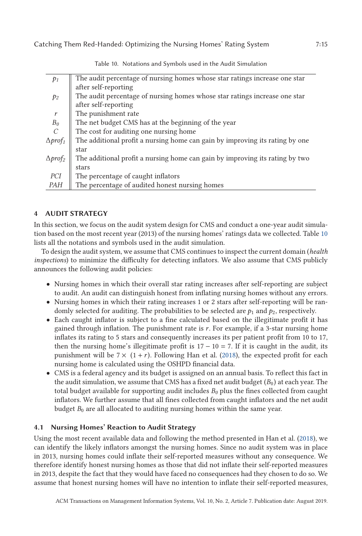*PAH* | The percentage of audited honest nursing homes

<span id="page-14-0"></span>

| $p_1$                                 | The audit percentage of nursing homes whose star ratings increase one star                                                                                                           |
|---------------------------------------|--------------------------------------------------------------------------------------------------------------------------------------------------------------------------------------|
|                                       | after self-reporting                                                                                                                                                                 |
| $p_2$                                 |                                                                                                                                                                                      |
|                                       | $\left\{ \begin{array}{ll} \text{The audit percentage of nursing homes whose star ratings increase one star after self-reporting} \\ \text{The punishment rate} \end{array} \right.$ |
| $\mathbf{r}$                          |                                                                                                                                                                                      |
| $\begin{matrix} B_0\cr C\end{matrix}$ | The net budget CMS has at the beginning of the year                                                                                                                                  |
|                                       | The cost for auditing one nursing home                                                                                                                                               |
|                                       | $\Delta prof_1$ The additional profit a nursing home can gain by improving its rating by one star                                                                                    |
|                                       | star                                                                                                                                                                                 |
|                                       |                                                                                                                                                                                      |
|                                       |                                                                                                                                                                                      |
|                                       | $\Delta prof_2$ The additional profit a nursing home can gain by improving its rating by two stars<br>PCI The percentage of caught inflators                                         |
|                                       |                                                                                                                                                                                      |

Table 10. Notations and Symbols used in the Audit Simulation

# **4 AUDIT STRATEGY**

In this section, we focus on the audit system design for CMS and conduct a one-year audit simulation based on the most recent year (2013) of the nursing homes' ratings data we collected. Table 10 lists all the notations and symbols used in the audit simulation.

To design the audit system, we assume that CMS continues to inspect the current domain (*health inspections*) to minimize the difficulty for detecting inflators. We also assume that CMS publicly announces the following audit policies:

- Nursing homes in which their overall star rating increases after self-reporting are subject to audit. An audit can distinguish honest from inflating nursing homes without any errors.
- Nursing homes in which their rating increases 1 or 2 stars after self-reporting will be randomly selected for auditing. The probabilities to be selected are  $p_1$  and  $p_2$ , respectively.
- Each caught inflator is subject to a fine calculated based on the illegitimate profit it has gained through inflation. The punishment rate is *r*. For example, if a 3-star nursing home inflates its rating to 5 stars and consequently increases its per patient profit from 10 to 17, then the nursing home's illegitimate profit is  $17 - 10 = 7$ . If it is caught in the audit, its punishment will be  $7 \times (1 + r)$ . Following Han et al. [\(2018\)](#page-24-0), the expected profit for each nursing home is calculated using the OSHPD financial data.
- CMS is a federal agency and its budget is assigned on an annual basis. To reflect this fact in the audit simulation, we assume that CMS has a fixed net audit budget  $(B_0)$  at each year. The total budget available for supporting audit includes  $B_0$  plus the fines collected from caught inflators. We further assume that all fines collected from caught inflators and the net audit budget  $B_0$  are all allocated to auditing nursing homes within the same year.

# **4.1 Nursing Homes' Reaction to Audit Strategy**

Using the most recent available data and following the method presented in Han et al. [\(2018\)](#page-24-0), we can identify the likely inflators amongst the nursing homes. Since no audit system was in place in 2013, nursing homes could inflate their self-reported measures without any consequence. We therefore identify honest nursing homes as those that did not inflate their self-reported measures in 2013, despite the fact that they would have faced no consequences had they chosen to do so. We assume that honest nursing homes will have no intention to inflate their self-reported measures,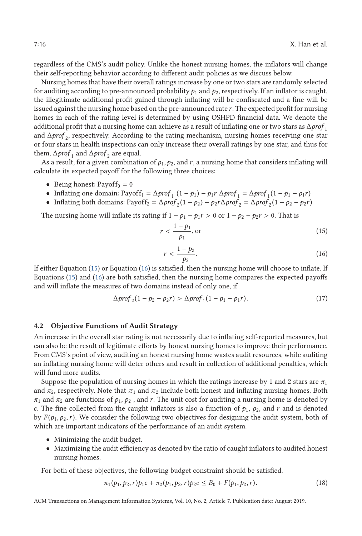<span id="page-15-0"></span>regardless of the CMS's audit policy. Unlike the honest nursing homes, the inflators will change their self-reporting behavior according to different audit policies as we discuss below.

Nursing homes that have their overall ratings increase by one or two stars are randomly selected for auditing according to pre-announced probability  $p_1$  and  $p_2$ , respectively. If an inflator is caught, the illegitimate additional profit gained through inflating will be confiscated and a fine will be issued against the nursing home based on the pre-announced rate *r*. The expected profit for nursing homes in each of the rating level is determined by using OSHPD financial data. We denote the additional profit that a nursing home can achieve as a result of inflating one or two stars as Δ*prof* <sup>1</sup> and  $\Delta prof_2$ , respectively. According to the rating mechanism, nursing homes receiving one star or four stars in health inspections can only increase their overall ratings by one star, and thus for them,  $\Delta prof_1$  and  $\Delta prof_2$  are equal.

As a result, for a given combination of  $p_1, p_2$ , and  $r$ , a nursing home that considers inflating will calculate its expected payoff for the following three choices:

- Being honest: Payoff $_0 = 0$
- Inflating one domain:  $Payoff_1 = \Delta prof_1 (1 p_1) p_1r \Delta prof_1 = \Delta prof_1 (1 p_1 p_1r)$
- Inflating both domains:  $Payoff_2 = \Delta prof_2(1 p_2) p_2r\Delta prof_2 = \Delta prof_2(1 p_2 p_2r)$

The nursing home will inflate its rating if  $1 - p_1 - p_1 r > 0$  or  $1 - p_2 - p_2 r > 0$ . That is

$$
r < \frac{1 - p_1}{p_1}, \text{or} \tag{15}
$$

$$
r < \frac{1 - p_2}{p_2}.\tag{16}
$$

If either Equation (15) or Equation (16) is satisfied, then the nursing home will choose to inflate. If Equations (15) and (16) are both satisfied, then the nursing home compares the expected payoffs and will inflate the measures of two domains instead of only one, if

$$
\Delta prof_2(1 - p_2 - p_2 r) > \Delta prof_1(1 - p_1 - p_1 r). \tag{17}
$$

# **4.2 Objective Functions of Audit Strategy**

An increase in the overall star rating is not necessarily due to inflating self-reported measures, but can also be the result of legitimate efforts by honest nursing homes to improve their performance. From CMS's point of view, auditing an honest nursing home wastes audit resources, while auditing an inflating nursing home will deter others and result in collection of additional penalties, which will fund more audits.

Suppose the population of nursing homes in which the ratings increase by 1 and 2 stars are  $\pi_1$ and  $\pi_2$ , respectively. Note that  $\pi_1$  and  $\pi_2$  include both honest and inflating nursing homes. Both  $\pi_1$  and  $\pi_2$  are functions of  $p_1$ ,  $p_2$ , and *r*. The unit cost for auditing a nursing home is denoted by *c*. The fine collected from the caught inflators is also a function of  $p_1$ ,  $p_2$ , and *r* and is denoted by  $F(p_1, p_2, r)$ . We consider the following two objectives for designing the audit system, both of which are important indicators of the performance of an audit system.

- Minimizing the audit budget.
- Maximizing the audit efficiency as denoted by the ratio of caught inflators to audited honest nursing homes.

For both of these objectives, the following budget constraint should be satisfied.

$$
\pi_1(p_1, p_2, r)p_1c + \pi_2(p_1, p_2, r)p_2c \leq B_0 + F(p_1, p_2, r). \tag{18}
$$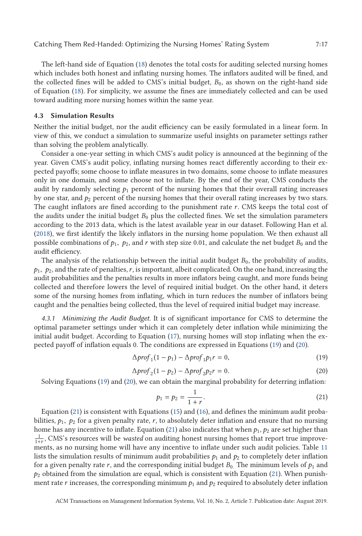The left-hand side of Equation [\(18\)](#page-15-0) denotes the total costs for auditing selected nursing homes which includes both honest and inflating nursing homes. The inflators audited will be fined, and the collected fines will be added to CMS's initial budget, *B*0, as shown on the right-hand side of Equation [\(18\)](#page-15-0). For simplicity, we assume the fines are immediately collected and can be used toward auditing more nursing homes within the same year.

### **4.3 Simulation Results**

Neither the initial budget, nor the audit efficiency can be easily formulated in a linear form. In view of this, we conduct a simulation to summarize useful insights on parameter settings rather than solving the problem analytically.

Consider a one-year setting in which CMS's audit policy is announced at the beginning of the year. Given CMS's audit policy, inflating nursing homes react differently according to their expected payoffs; some choose to inflate measures in two domains, some choose to inflate measures only in one domain, and some choose not to inflate. By the end of the year, CMS conducts the audit by randomly selecting  $p_1$  percent of the nursing homes that their overall rating increases by one star, and  $p_2$  percent of the nursing homes that their overall rating increases by two stars. The caught inflators are fined according to the punishment rate *r*. CMS keeps the total cost of the audits under the initial budget  $B_0$  plus the collected fines. We set the simulation parameters according to the 2013 data, which is the latest available year in our dataset. Following Han et al. [\(2018\)](#page-24-0), we first identify the likely inflators in the nursing home population. We then exhaust all possible combinations of  $p_1$ ,  $p_2$ , and  $r$  with step size 0.01, and calculate the net budget  $B_0$  and the audit efficiency.

The analysis of the relationship between the initial audit budget  $B_0$ , the probability of audits,  $p_1$ ,  $p_2$ , and the rate of penalties, r, is important, albeit complicated. On the one hand, increasing the audit probabilities and the penalties results in more inflators being caught, and more funds being collected and therefore lowers the level of required initial budget. On the other hand, it deters some of the nursing homes from inflating, which in turn reduces the number of inflators being caught and the penalties being collected, thus the level of required initial budget may increase.

*4.3.1 Minimizing the Audit Budget.* It is of significant importance for CMS to determine the optimal parameter settings under which it can completely deter inflation while minimizing the initial audit budget. According to Equation [\(17\)](#page-15-0), nursing homes will stop inflating when the expected payoff of inflation equals 0. The conditions are expressed in Equations (19) and (20).

$$
\Delta prof_1(1-p_1) - \Delta prof_1p_1r = 0,\t\t(19)
$$

$$
\Delta prof_2(1 - p_2) - \Delta prof_2p_2r = 0. \tag{20}
$$

 $\Delta prof_2(1 - p_2) - \Delta prof_2p_2r = 0.$  (20)<br>Solving Equations (19) and (20), we can obtain the marginal probability for deterring inflation:

$$
p_1 = p_2 = \frac{1}{1+r}.\tag{21}
$$

Equation (21) is consistent with Equations [\(15\)](#page-15-0) and [\(16\)](#page-15-0), and defines the minimum audit probabilities,  $p_1$ ,  $p_2$  for a given penalty rate, *r*, to absolutely deter inflation and ensure that no nursing home has any incentive to inflate. Equation (21) also indicates that when  $p_1$ ,  $p_2$  are set higher than  $\frac{1}{1+r}$ , CMS's resources will be *wasted* on auditing honest nursing homes that report true improvements, as no nursing home will have any incentive to inflate under such audit policies. Table [11](#page-17-0) lists the simulation results of minimum audit probabilities  $p_1$  and  $p_2$  to completely deter inflation for a given penalty rate  $r$ , and the corresponding initial budget  $B_0$ . The minimum levels of  $p_1$  and  $p_2$  obtained from the simulation are equal, which is consistent with Equation (21). When punishment rate *r* increases, the corresponding minimum  $p_1$  and  $p_2$  required to absolutely deter inflation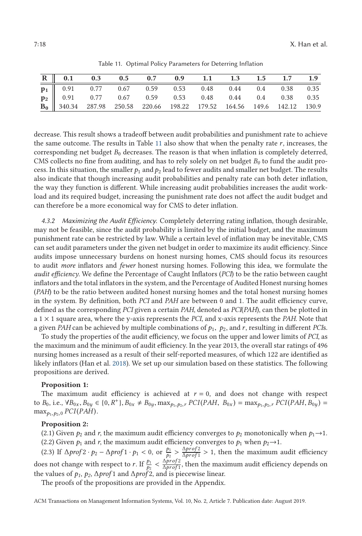<span id="page-17-0"></span>

| R 0.1 0.3 0.5 0.7 0.9 1.1 1.3 1.5 1.7 1.9                                                                                                                                                                                                                                                            |  |  |  |  |  |
|------------------------------------------------------------------------------------------------------------------------------------------------------------------------------------------------------------------------------------------------------------------------------------------------------|--|--|--|--|--|
|                                                                                                                                                                                                                                                                                                      |  |  |  |  |  |
|                                                                                                                                                                                                                                                                                                      |  |  |  |  |  |
| $\begin{tabular}{l ccccccccc } \hline \textbf{p}_1 & 0.91 & 0.77 & 0.67 & 0.59 & 0.53 & 0.48 & 0.44 & 0.4 & 0.38 & 0.35 \\ \textbf{p}_2 & 0.91 & 0.77 & 0.67 & 0.59 & 0.53 & 0.48 & 0.44 & 0.4 & 0.38 & 0.35 \\ \textbf{B}_0 & 340.34 & 287.98 & 250.58 & 220.66 & 198.22 & 179.52 & 164.56 & 149.6$ |  |  |  |  |  |

Table 11. Optimal Policy Parameters for Deterring Inflation

decrease. This result shows a tradeoff between audit probabilities and punishment rate to achieve the same outcome. The results in Table 11 also show that when the penalty rate *r*, increases, the corresponding net budget *B*<sup>0</sup> decreases. The reason is that when inflation is completely deterred, CMS collects no fine from auditing, and has to rely solely on net budget  $B_0$  to fund the audit process. In this situation, the smaller  $p_1$  and  $p_2$  lead to fewer audits and smaller net budget. The results also indicate that though increasing audit probabilities and penalty rate can both deter inflation, the way they function is different. While increasing audit probabilities increases the audit workload and its required budget, increasing the punishment rate does not affect the audit budget and can therefore be a more economical way for CMS to deter inflation.

*4.3.2 Maximizing the Audit Efficiency.* Completely deterring rating inflation, though desirable, may not be feasible, since the audit probability is limited by the initial budget, and the maximum punishment rate can be restricted by law. While a certain level of inflation may be inevitable, CMS can set audit parameters under the given net budget in order to maximize its audit efficiency. Since audits impose unnecessary burdens on honest nursing homes, CMS should focus its resources to audit *more* inflators and *fewer* honest nursing homes. Following this idea, we formulate the *audit efficiency*. We define the Percentage of Caught Inflators (*PCI*) to be the ratio between caught inflators and the total inflators in the system, and the Percentage of Audited Honest nursing homes (*PAH*) to be the ratio between audited honest nursing homes and the total honest nursing homes in the system. By definition, both *PCI* and *PAH* are between 0 and 1. The audit efficiency curve, defined as the corresponding *PCI* given a certain *PAH*, denoted as *PCI*(*PAH*), can then be plotted in a 1 × 1 square area, where the y-axis represents the *PCI*, and x-axis represents the *PAH*. Note that a given *PAH* can be achieved by multiple combinations of  $p_1$ ,  $p_2$ , and  $r$ , resulting in different *PCIs*.

To study the properties of the audit efficiency, we focus on the upper and lower limits of *PCI*, as the maximum and the minimum of audit efficiency. In the year 2013, the overall star ratings of 496 nursing homes increased as a result of their self-reported measures, of which 122 are identified as likely inflators (Han et al. [2018\)](#page-24-0). We set up our simulation based on these statistics. The following propositions are derived.

### **Proposition 1:**

The maximum audit efficiency is achieved at  $r = 0$ , and does not change with respect to  $B_0$ , i.e.,  $\forall B_{0x}, B_{0y} \in \{0, R^+\}, B_{0x} \neq B_{0y}, \max_{p_1, p_2, r} PCI(PAH, B_{0x}) = \max_{p_1, p_2, r} PCI(PAH, B_{0y}) = \max_{p_1, p_2, r} PCI(PAH, B_{0y}) = \max_{p_1, p_2, r} PCI(PAH, B_{0y}) = \max_{p_1, p_2, r} PCI(PAH, B_{0y}) = \max_{p_1, p_2, r} PCI(PAH, B_{0y}) = \max_{p_1, p_2, r} PCI(PAH, B_{0y}) = \$  $\max_{p_1, p_2, 0} PCI(PAH)$ .

#### **Proposition 2:**

(2.1) Given  $p_2$  and *r*, the maximum audit efficiency converges to  $p_2$  monotonically when  $p_1 \rightarrow 1$ . (2.2) Given  $p_1$  and *r*, the maximum audit efficiency converges to  $p_1$  when  $p_2 \rightarrow 1$ .

(2.3) If  $\triangle prof2 \cdot p_2 - \triangle prof1 \cdot p_1 < 0$ , or  $\frac{p_1}{p_2} >$  $\frac{\Delta prof2}{\Delta prof1} > 1$ , then the maximum audit efficiency does not change with respect to *r*. If  $\frac{p_1}{p_2}$  <<br>the values of **p**<sub>2</sub> **p**<sub>2</sub>  $\Delta$  profil and  $\Delta$  profil  $\frac{\Delta prof2}{\Delta prof1}$ , then the maximum audit efficiency depends on the values of *p1*, *p2*, Δ*prof* 1 and Δ*prof* 2, and is piecewise linear.

The proofs of the propositions are provided in the Appendix.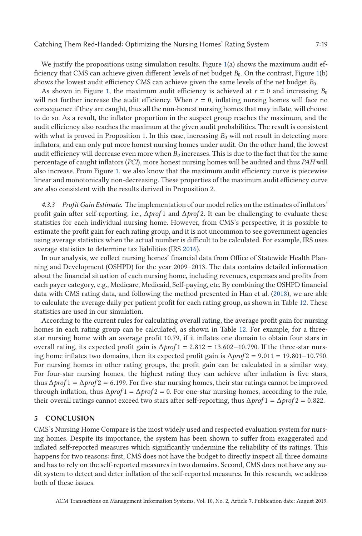<span id="page-18-0"></span>We justify the propositions using simulation results. Figure [1\(](#page-19-0)a) shows the maximum audit efficiency that CMS can achieve given different levels of net budget  $B_0$ . On the contrast, Figure [1\(](#page-19-0)b) shows the lowest audit efficiency CMS can achieve given the same levels of the net budget  $B_0$ .

As shown in Figure [1,](#page-19-0) the maximum audit efficiency is achieved at  $r = 0$  and increasing  $B_0$ will not further increase the audit efficiency. When  $r = 0$ , inflating nursing homes will face no consequence if they are caught, thus all the non-honest nursing homes that may inflate, will choose to do so. As a result, the inflator proportion in the suspect group reaches the maximum, and the audit efficiency also reaches the maximum at the given audit probabilities. The result is consistent with what is proved in Proposition 1. In this case, increasing  $B_0$  will not result in detecting more inflators, and can only put more honest nursing homes under audit. On the other hand, the lowest audit efficiency will decrease even more when  $B_0$  increases. This is due to the fact that for the same percentage of caught inflators (*PCI*), more honest nursing homes will be audited and thus *PAH* will also increase. From Figure [1,](#page-19-0) we also know that the maximum audit efficiency curve is piecewise linear and monotonically non-decreasing. These properties of the maximum audit efficiency curve are also consistent with the results derived in Proposition 2.

*4.3.3 Profit Gain Estimate.* The implementation of our model relies on the estimates of inflators' profit gain after self-reporting, i.e., Δ*prof* 1 and Δ*prof* 2. It can be challenging to evaluate these statistics for each individual nursing home. However, from CMS's perspective, it is possible to estimate the profit gain for each rating group, and it is not uncommon to see government agencies using average statistics when the actual number is difficult to be calculated. For example, IRS uses average statistics to determine tax liabilities (IRS [2016\)](#page-24-0).

In our analysis, we collect nursing homes' financial data from Office of Statewide Health Planning and Development (OSHPD) for the year 2009–2013. The data contains detailed information about the financial situation of each nursing home, including revenues, expenses and profits from each payer category, e.g., Medicare, Medicaid, Self-paying, etc. By combining the OSHPD financial data with CMS rating data, and following the method presented in Han et al. [\(2018\)](#page-24-0), we are able to calculate the average daily per patient profit for each rating group, as shown in Table [12.](#page-20-0) These statistics are used in our simulation.

According to the current rules for calculating overall rating, the average profit gain for nursing homes in each rating group can be calculated, as shown in Table [12.](#page-20-0) For example, for a threestar nursing home with an average profit 10.79, if it inflates one domain to obtain four stars in overall rating, its expected profit gain is <sup>Δ</sup>*prof* <sup>1</sup> <sup>=</sup> <sup>2</sup>.<sup>812</sup> <sup>=</sup> <sup>13</sup>.602−10.790. If the three-star nursing home inflates two domains, then its expected profit gain is <sup>Δ</sup>*prof* <sup>2</sup> <sup>=</sup> <sup>9</sup>.<sup>011</sup> <sup>=</sup> <sup>19</sup>.801−10.790. For nursing homes in other rating groups, the profit gain can be calculated in a similar way. For four-star nursing homes, the highest rating they can achieve after inflation is five stars, thus  $\Delta prof1 = \Delta prof2 = 6.199$ . For five-star nursing homes, their star ratings cannot be improved through inflation, thus  $\Delta prof1 = \Delta prof2 = 0$ . For one-star nursing homes, according to the rule, their overall ratings cannot exceed two stars after self-reporting, thus <sup>Δ</sup>*prof* <sup>1</sup> <sup>=</sup> <sup>Δ</sup>*prof* <sup>2</sup> <sup>=</sup> <sup>0</sup>.822.

#### **5 CONCLUSION**

CMS's Nursing Home Compare is the most widely used and respected evaluation system for nursing homes. Despite its importance, the system has been shown to suffer from exaggerated and inflated self-reported measures which significantly undermine the reliability of its ratings. This happens for two reasons: first, CMS does not have the budget to directly inspect all three domains and has to rely on the self-reported measures in two domains. Second, CMS does not have any audit system to detect and deter inflation of the self-reported measures. In this research, we address both of these issues.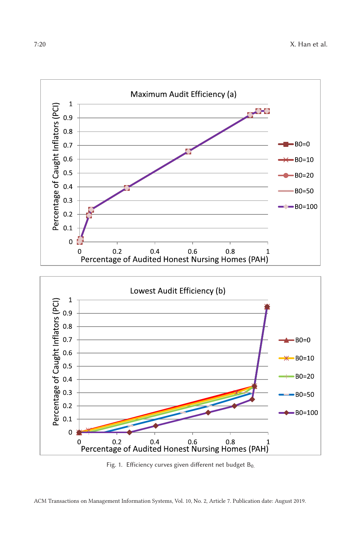<span id="page-19-0"></span>



Fig. 1. Efficiency curves given different net budget  $B_0$ .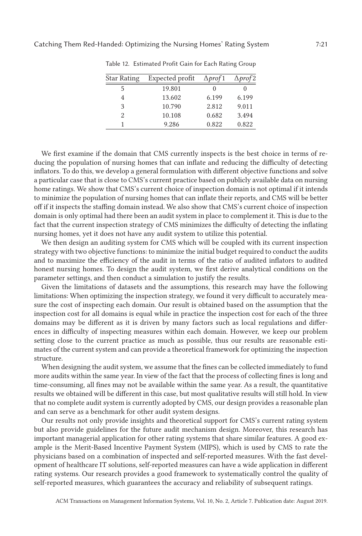| <b>Star Rating</b> | Expected profit | $\Delta$ <i>prof</i> 1 | $\Delta$ <i>prof</i> 2 |
|--------------------|-----------------|------------------------|------------------------|
| 5                  | 19.801          |                        |                        |
| 4                  | 13.602          | 6.199                  | 6.199                  |
| 3                  | 10.790          | 2.812                  | 9.011                  |
| 2                  | 10.108          | 0.682                  | 3.494                  |
|                    | 9.286           | 0.822                  | 0.822                  |

<span id="page-20-0"></span>Table 12. Estimated Profit Gain for Each Rating Group

We first examine if the domain that CMS currently inspects is the best choice in terms of reducing the population of nursing homes that can inflate and reducing the difficulty of detecting inflators. To do this, we develop a general formulation with different objective functions and solve a particular case that is close to CMS's current practice based on publicly available data on nursing home ratings. We show that CMS's current choice of inspection domain is not optimal if it intends to minimize the population of nursing homes that can inflate their reports, and CMS will be better off if it inspects the staffing domain instead. We also show that CMS's current choice of inspection domain is only optimal had there been an audit system in place to complement it. This is due to the fact that the current inspection strategy of CMS minimizes the difficulty of detecting the inflating nursing homes, yet it does not have any audit system to utilize this potential.

We then design an auditing system for CMS which will be coupled with its current inspection strategy with two objective functions: to minimize the initial budget required to conduct the audits and to maximize the efficiency of the audit in terms of the ratio of audited inflators to audited honest nursing homes. To design the audit system, we first derive analytical conditions on the parameter settings, and then conduct a simulation to justify the results.

Given the limitations of datasets and the assumptions, this research may have the following limitations: When optimizing the inspection strategy, we found it very difficult to accurately measure the cost of inspecting each domain. Our result is obtained based on the assumption that the inspection cost for all domains is equal while in practice the inspection cost for each of the three domains may be different as it is driven by many factors such as local regulations and differences in difficulty of inspecting measures within each domain. However, we keep our problem setting close to the current practice as much as possible, thus our results are reasonable estimates of the current system and can provide a theoretical framework for optimizing the inspection structure.

When designing the audit system, we assume that the fines can be collected immediately to fund more audits within the same year. In view of the fact that the process of collecting fines is long and time-consuming, all fines may not be available within the same year. As a result, the quantitative results we obtained will be different in this case, but most qualitative results will still hold. In view that no complete audit system is currently adopted by CMS, our design provides a reasonable plan and can serve as a benchmark for other audit system designs.

Our results not only provide insights and theoretical support for CMS's current rating system but also provide guidelines for the future audit mechanism design. Moreover, this research has important managerial application for other rating systems that share similar features. A good example is the Merit-Based Incentive Payment System (MIPS), which is used by CMS to rate the physicians based on a combination of inspected and self-reported measures. With the fast development of healthcare IT solutions, self-reported measures can have a wide application in different rating systems. Our research provides a good framework to systematically control the quality of self-reported measures, which guarantees the accuracy and reliability of subsequent ratings.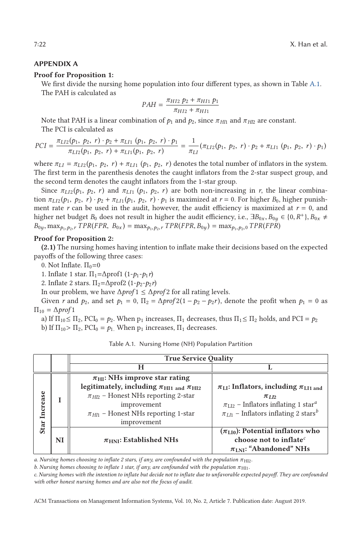# **APPENDIX A**

### **Proof for Proposition 1:**

We first divide the nursing home population into four different types, as shown in Table [A.1.](#page-22-0) The PAH is calculated as

$$
PAH = \frac{\pi_{HI2} p_2 + \pi_{HI1} p_1}{\pi_{HI2} + \pi_{HI1}}
$$

Note that PAH is a linear combination of  $p_1$  and  $p_2$ , since  $\pi_{H11}$  and  $\pi_{H12}$  are constant. The PCI is calculated as

$$
PCI = \frac{\pi_{LI2}(p_1, p_2, r) \cdot p_2 + \pi_{LI1}(p_1, p_2, r) \cdot p_1}{\pi_{LI2}(p_1, p_2, r) + \pi_{LI1}(p_1, p_2, r)} = \frac{1}{\pi_{LI}}(\pi_{LI2}(p_1, p_2, r) \cdot p_2 + \pi_{LI1}(p_1, p_2, r) \cdot p_1)
$$

where  $\pi_{LI} = \pi_{LI2}(p_1, p_2, r) + \pi_{LI1}(p_1, p_2, r)$  denotes the total number of inflators in the system. The first term in the parenthesis denotes the caught inflators from the 2-star suspect group, and the second term denotes the caught inflators from the 1-star group.

Since  $\pi_{LI2}(p_1, p_2, r)$  and  $\pi_{LI1}(p_1, p_2, r)$  are both non-increasing in *r*, the linear combination  $\pi_{LI2}(p_1, p_2, r) \cdot p_2 + \pi_{LI1}(p_1, p_2, r) \cdot p_1$  is maximized at  $r = 0$ . For higher  $B_0$ , higher punishment rate  $r$  can be used in the audit, however, the audit efficiency is maximized at  $r = 0$ , and higher net budget *B*<sub>0</sub> does not result in higher the audit efficiency, i.e.,  $\exists B_{0x}, B_{0y} \in \{0, R^+\}, B_{0x} \neq R_2$  and  $\exists B_{0x}$   $\exists B_{0x}$   $\exists B_{0x}$   $\exists B_{0x}$   $\exists B_{0x}$   $\exists B_{0x}$   $\exists B_{0x}$   $\exists B_{0x}$   $\exists B_{0x}$   $\exists B_{0x}$   $\$  $B_{0y}$ , max<sub>p1</sub>, p<sub>2</sub>,*r TPR*(*FPR*,  $B_{0x}$ ) = max<sub>p<sub>1</sub>, p<sub>2</sub>,*r TPR*(*FPR*,  $B_{0y}$ ) = max<sub>p<sub>1</sub>, p<sub>2</sub>,0</sub> *TPR*(*FPR*)</sub>

### **Proof for Proposition 2:**

**(2.1)** The nursing homes having intention to inflate make their decisions based on the expected payoffs of the following three cases:

0. Not Inflate.  $\Pi_0=0$ 

1. Inflate 1 star.  $\Pi_1 = \Delta \text{prof1} (1 - p_1 - p_1 r)$ 

2. Inflate 2 stars.  $\Pi_2 = \Delta \text{prof2} (1 - p_2 - p_2 r)$ 

In our problem, we have Δ*prof* 1 ≤ Δ*prof* 2 for all rating levels.

Given *r* and  $p_2$ , and set  $p_1 = 0$ ,  $\Pi_2 = \Delta \text{prof}_2(1 - p_2 - p_2 r)$ , denote the profit when  $p_1 = 0$  as  $\Pi_{10} = \Delta \text{prof}_1$ 

a) If  $\Pi_{10} \leq \Pi_2$ , PCI<sub>0</sub> =  $p_2$ . When  $p_1$  increases,  $\Pi_1$  decreases, thus  $\Pi_1 \leq \Pi_2$  holds, and PCI =  $p_2$ b) If  $\Pi_{10}$  >  $\Pi_2$ , PCI<sub>0</sub> =  $p_1$ . When  $p_1$  increases,  $\Pi_1$  decreases.

|                         |    | <b>True Service Quality</b>                                                                                                                                                                                                          |                                                                                                                                                                                                        |  |  |
|-------------------------|----|--------------------------------------------------------------------------------------------------------------------------------------------------------------------------------------------------------------------------------------|--------------------------------------------------------------------------------------------------------------------------------------------------------------------------------------------------------|--|--|
|                         |    | н                                                                                                                                                                                                                                    |                                                                                                                                                                                                        |  |  |
| Increase<br><b>Star</b> |    | $\pi_{\rm HI}$ : NHs improve star rating<br>legitimately, including $\pi_{\text{H11 and}}$ $\pi_{\text{H12}}$<br>$\pi_{HI2}$ – Honest NHs reporting 2-star<br>improvement<br>$\pi_{H1}$ – Honest NHs reporting 1-star<br>improvement | $\pi_{\text{LI}}$ : Inflators, including $\pi_{\text{LI}}$ and<br>$\pi_{LI2}$<br>$\pi_{\text{LI2}}$ – Inflators inflating 1 star <sup>a</sup><br>$\pi_{L1}$ – Inflators inflating 2 stars <sup>b</sup> |  |  |
|                         | NI | $\pi_{HNI}$ : Established NHs                                                                                                                                                                                                        | $(\pi_{\text{LIO}})$ : Potential inflators who<br>choose not to inflate $c$<br>$\pi_{LNI}$ : "Abandoned" NHs                                                                                           |  |  |

| Table A.1. Nursing Home (NH) Population Partition |  |  |  |  |  |  |
|---------------------------------------------------|--|--|--|--|--|--|
|---------------------------------------------------|--|--|--|--|--|--|

*a. Nursing homes choosing to inflate 2 stars, if any, are confounded with the population*  $\pi_{\rm HI2}$ .

*b. Nursing homes choosing to inflate 1 star, if any, are confounded with the population*  $\pi_{\rm HI1}$ .

*c. Nursing homes with the intention to inflate but decide not to inflate due to unfavorable expected payoff. They are confounded with other honest nursing homes and are also not the focus of audit.*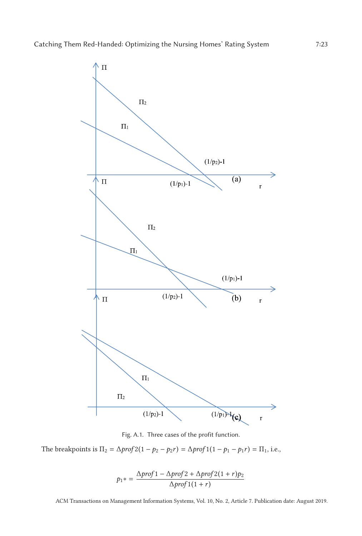<span id="page-22-0"></span>

Fig. A.1. Three cases of the profit function.

The breakpoints is  $\Pi_2 = \Delta p r \cdot f^2 (1 - p_2 - p_2 r) = \Delta p r \cdot f^2 (1 - p_1 - p_1 r) = \Pi_1$ , i.e.,

$$
p_1* = \frac{\Delta prof1 - \Delta prof2 + \Delta prof2(1+r)p_2}{\Delta prof1(1+r)}
$$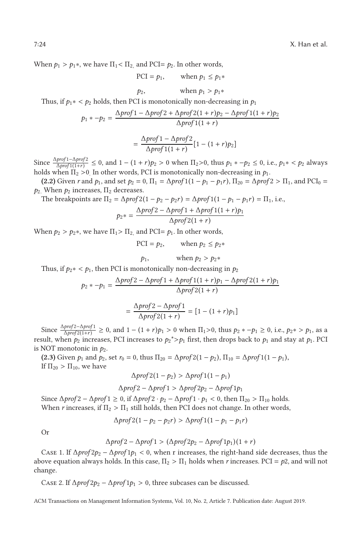When  $p_1 > p_1$ <sup>\*</sup>, we have  $\Pi_1 < \Pi_2$  and PCI=  $p_2$ . In other words,

$$
PCI = p_1, \qquad \text{when } p_1 \le p_1*
$$

$$
p_2, \qquad \text{when } p_1 > p_1*
$$

Thus, if  $p_1$ ∗ <  $p_2$  holds, then PCI is monotonically non-decreasing in  $p_1$ 

$$
p_1 * -p_2 = \frac{\Delta prof1 - \Delta prof2 + \Delta prof2(1+r)p_2 - \Delta prof1(1+r)p_2}{\Delta prof1(1+r)}
$$

$$
= \frac{\Delta prof1 - \Delta prof2}{\Delta prof1(1+r)}[1 - (1+r)p_2]
$$

Since  $\frac{\Delta prof 1-\Delta prof 2}{\Delta prof(1+ir)} \leq 0$ , and  $1-(1+r)p_2 > 0$  when  $\Pi_2>0$ , thus  $p_1 * -p_2 \leq 0$ , i.e.,  $p_1 * < p_2$  always holds when  $\Pi > 0$ . In other words, PCI is monotonically non-decreasing in  $p_1$ . holds when  $\Pi_2 > 0$ . In other words, PCI is monotonically non-decreasing in  $p_1$ .

**(2.2)** Given *r* and  $p_1$ , and set  $p_2 = 0$ ,  $\Pi_1 = \Delta prof 1(1 - p_1 - p_1 r)$ ,  $\Pi_{20} = \Delta prof 2 > \Pi_1$ , and PCI<sub>0</sub> =  $p_2$ . When  $p_2$  increases,  $\Pi_2$  decreases.

The breakpoints are Π<sub>2</sub> = Δ*prof* 2(1 − *p*<sub>2</sub> − *p*<sub>2</sub>*r*) = Δ*prof* 1(1 − *p*<sub>1</sub> − *p*<sub>1</sub>*r*) = Π<sub>1</sub>, i.e.,

$$
p_2* = \frac{\Delta prof2 - \Delta prof1 + \Delta prof1(1+r)p_1}{\Delta prof2(1+r)}
$$

When  $p_2 > p_2$ <sup>\*</sup>, we have  $\Pi_1 > \Pi_2$  and PCI=  $p_1$ . In other words,

$$
PCI = p_2, \qquad \text{when } p_2 \leq p_2*
$$

$$
p_1, \qquad \text{when } p_2 > p_2*
$$

Thus, if  $p_2$ ∗ <  $p_1$ , then PCI is monotonically non-decreasing in  $p_2$ 

$$
p_2 * -p_1 = \frac{\Delta prof2 - \Delta prof1 + \Delta prof1(1+r)p_1 - \Delta prof2(1+r)p_1}{\Delta prof2(1+r)}
$$

$$
= \frac{\Delta prof2 - \Delta prof1}{\Delta prof2(1+r)} = [1 - (1+r)p_1]
$$

Since  $\frac{\Delta prof2-\Delta prof1}{\Delta prof2(1+r)} \ge 0$ , and  $1-(1+r)p_1 > 0$  when  $\Pi_1>0$ , thus  $p_2 * -p_1 \ge 0$ , i.e.,  $p_2 * > p_1$ , as a analytical property of *p* increases PCI increases to *p*<sup>\*</sup>>*p*. first, then drops hask to *p* and stay at *p* result, when  $p_2$  increases, PCI increases to  $p_2^* > p_1$  first, then drops back to  $p_1$  and stay at  $p_1$ . PCI is NOT monotonic in  $p_2$ .

**(2.3)** Given  $p_1$  and  $p_2$ , set  $r_0 = 0$ , thus  $\Pi_{20} = \Delta \text{prof}_2(1 - p_2)$ ,  $\Pi_{10} = \Delta \text{prof}_1(1 - p_1)$ , If  $\Pi_{20} > \Pi_{10}$ , we have

$$
\Delta prof2(1-p_2) > \Delta prof1(1-p_1)
$$

$$
\Delta prof 2 - \Delta prof 1 > \Delta prof 2p_2 - \Delta prof 1p_1
$$

Since  $\Delta prof 2 - \Delta prof 1 \geq 0$ , if  $\Delta prof 2 \cdot p_2 - \Delta prof 1 \cdot p_1 < 0$ , then  $\Pi_{20} > \Pi_{10}$  holds.<br>When rincreases if  $\Pi_2 > \Pi_2$  still holds then PCI does not change. In other words When *r* increases, if  $\Pi_2 > \Pi_1$  still holds, then PCI does not change. In other words,

$$
\Delta prof2(1-p_2-p_2r) > \Delta prof1(1-p_1-p_1r)
$$

Or

$$
\Delta prof2 - \Delta prof1 > (\Delta prof2p_2 - \Delta prof1p_1)(1 + r)
$$

Case 1. If  $\Delta prof 2p_2 - \Delta prof 1p_1 < 0$ , when r increases, the right-hand side decreases, thus the overequation always holds. In this case  $\Pi_2 > \Pi_1$  holds when rincreases  $PCI - p_2$  and will not above equation always holds. In this case,  $\Pi_2 > \Pi_1$  holds when *r* increases. PCI =  $p2$ , and will not change.

Case 2. If  $\Delta \text{prof}_2 - \Delta \text{prof}_1 \text{p}_1 > 0$ , three subcases can be discussed.

ACM Transactions on Management Information Systems, Vol. 10, No. 2, Article 7. Publication date: August 2019.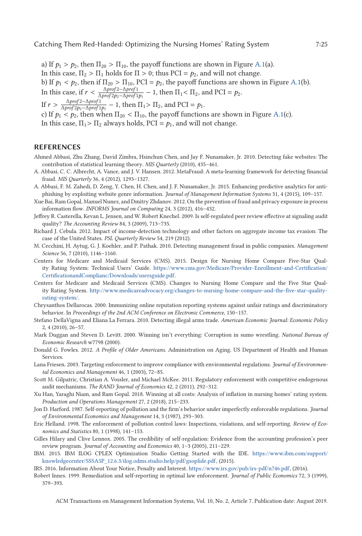<span id="page-24-0"></span>a) If  $p_1 > p_2$ , then  $\Pi_{20} > \Pi_{10}$ , the payoff functions are shown in Figure [A.1\(](#page-22-0)a). In this case,  $\Pi_2 > \Pi_1$  holds for  $\Pi > 0$ ; thus PCI =  $p_2$ , and will not change. b) If  $p_1 < p_2$ , then if  $\Pi_{20} > \Pi_{10}$ , PCI =  $p_2$ , the payoff functions are shown in Figure [A.1\(](#page-22-0)b). In this case, if  $r < \frac{\Delta prof2 - \Delta prof1}{\Delta prof2 p} - \Delta prof1 p_1 - 1$ , then  $\Pi_1 < \Pi_2$ , and PCI =  $p_2$ . If  $r > \frac{\Delta prof 2 - \Delta prof 1}{\Delta prof 2p_2 - \Delta prof 1p_1} - 1$ , then  $\Pi_1 > \Pi_2$ , and PCI =  $p_1$ . c) If  $p_1 < p_2$ , then when  $\Pi_{20} < \Pi_{10}$ , the payoff functions are shown in Figure [A.1\(](#page-22-0)c). In this case,  $\Pi_1 > \Pi_2$  always holds, PCI =  $p_1$ , and will not change.

### **REFERENCES**

- Ahmed Abbasi, Zhu Zhang, David Zimbra, Hsinchun Chen, and Jay F. Nunamaker, Jr. 2010. Detecting fake websites: The contribution of statistical learning theory. *MIS Quarterly* (2010), 435–461.
- A. Abbasi, C. C. Albrecht, A. Vance, and J. V. Hansen. 2012. MetaFraud: A meta-learning framework for detecting financial fraud. *MIS Quarterly* 36, 4 (2012), 1293–1327.
- A. Abbasi, F. M. Zahedi, D. Zeng, Y. Chen, H. Chen, and J. F. Nunamaker, Jr. 2015. Enhancing predictive analytics for antiphishing by exploiting website genre information. *Journal of Management Information Systems* 31, 4 (2015), 109–157.
- Xue Bai, Ram Gopal, Manuel Nunez, and Dmitry Zhdanov. 2012. On the prevention of fraud and privacy exposure in process information flow. *INFORMS Journal on Computing* 24, 3 (2012), 416–432.
- Jeffrey R. Casterella, Kevan L. Jensen, and W. Robert Knechel. 2009. Is self-regulated peer review effective at signaling audit quality? *The Accounting Review* 84, 3 (2009), 713–735.
- Richard J. Cebula. 2012. Impact of income-detection technology and other factors on aggregate income tax evasion: The case of the United States. *PSL Quarterly Review* 54, 219 (2012).
- M. Cecchini, H. Aytug, G. J. Koehler, and P. Pathak. 2010. Detecting management fraud in public companies. *Management Science* 56, 7 (2010), 1146–1160.
- Centers for Medicare and Medicaid Services (CMS). 2015. Design for Nursing Home Compare Five-Star Quality Rating System: Technical Users' Guide. [https://www.cms.gov/Medicare/Provider-Enrollment-and-Certification/](https://www.cms.gov/Medicare/Provider-Enrollment-and-Certification/CertificationandComplianc/Downloads/usersguide.pdf) [CertificationandComplianc/Downloads/usersguide.pdf.](https://www.cms.gov/Medicare/Provider-Enrollment-and-Certification/CertificationandComplianc/Downloads/usersguide.pdf)
- Centers for Medicare and Medicaid Services (CMS). Changes to Nursing Home Compare and the Five Star Quality Rating System. [http://www.medicareadvocacy.org/changes-to-nursing-home-compare-and-the-five-star-quality](http://www.medicareadvocacy.org/changes-to-nursing-home-compare-and-the-five-star-quality-rating-system/)[rating-system/.](http://www.medicareadvocacy.org/changes-to-nursing-home-compare-and-the-five-star-quality-rating-system/)
- Chrysanthos Dellarocas. 2000. Immunizing online reputation reporting systems against unfair ratings and discriminatory behavior. In *Proceedings of the 2nd ACM Conference on Electronic Commerce*, 150–157.
- Stefano DellaVigna and Eliana La Ferrara. 2010. Detecting illegal arms trade. *American Economic Journal: Economic Policy* 2, 4 (2010), 26–57.
- Mark Duggan and Steven D. Levitt. 2000. Winning isn't everything: Corruption in sumo wrestling. *National Bureau of Economic Research* w7798 (2000).
- Donald G. Fowles. 2012. *A Profile of Older Americans*. Administration on Aging. US Department of Health and Human Services.
- Lana Friesen. 2003. Targeting enforcement to improve compliance with environmental regulations. *Journal of Environmental Economics and Management* 46, 1 (2003), 72–85.
- Scott M. Gilpatric, Christian A. Vossler, and Michael McKee. 2011. Regulatory enforcement with competitive endogenous audit mechanisms. *The RAND Journal of Economics* 42, 2 (2011), 292–312.
- Xu Han, Yaraghi Niam, and Ram Gopal. 2018. Winning at all costs: Analysis of inflation in nursing homes' rating system. *Production and Operations Management* 27, 2 (2018), 215–233.
- Jon D. Harford. 1987. Self-reporting of pollution and the firm's behavior under imperfectly enforceable regulations. *Journal of Environmental Economics and Management* 14, 3 (1987), 293–303.
- Eric Helland. 1998. The enforcement of pollution control laws: Inspections, violations, and self-reporting. *Review of Economics and Statistics* 80, 1 (1998), 141–153.
- Gilles Hilary and Clive Lennox. 2005. The credibility of self-regulation: Evidence from the accounting profession's peer review program. *Journal of Accounting and Economics* 40, 1–3 (2005), 211–229.
- IBM. 2015. IBM ILOG CPLEX Optimization Studio Getting Started with the IDE. [https://www.ibm.com/support/](https://www.ibm.com/support/knowledgecenter/SSSA5P_12.6.3/ilog.odms.studio.help/pdf/gsoplide.pdf) [knowledgecenter/SSSA5P\\_12.6.3/ilog.odms.studio.help/pdf/gsoplide.pdf,](https://www.ibm.com/support/knowledgecenter/SSSA5P_12.6.3/ilog.odms.studio.help/pdf/gsoplide.pdf) (2015).
- IRS. 2016. Information About Your Notice, Penalty and Interest. [https://www.irs.gov/pub/irs-pdf/n746.pdf,](https://www.irs.gov/pub/irs-pdf/n746.pdf) (2016).
- Robert Innes. 1999. Remediation and self-reporting in optimal law enforcement. *Journal of Public Economics* 72, 3 (1999), 379–393.